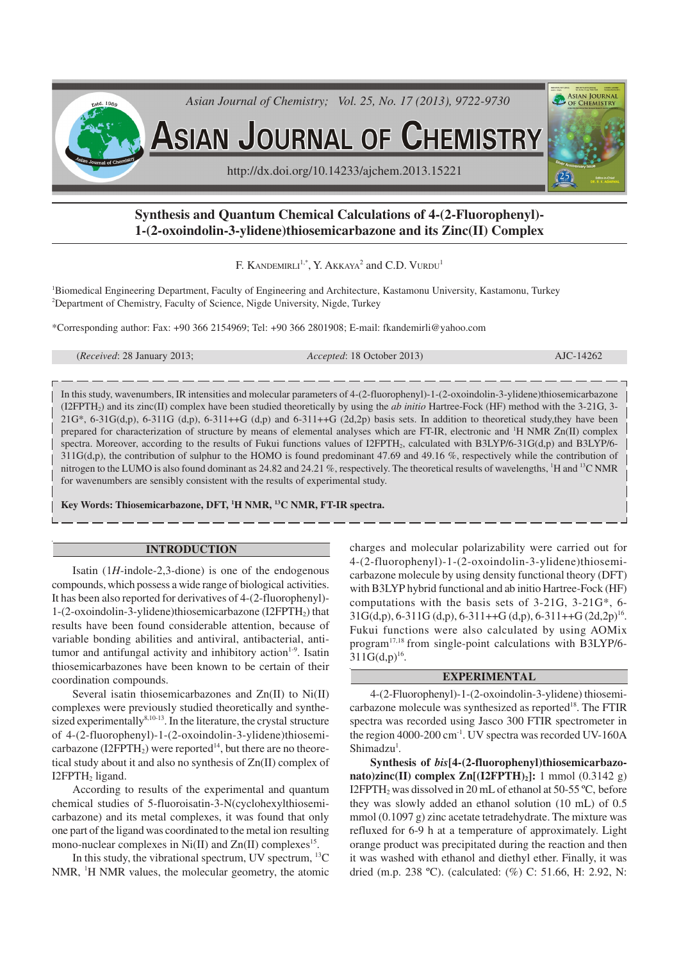

# **Synthesis and Quantum Chemical Calculations of 4-(2-Fluorophenyl)- 1-(2-oxoindolin-3-ylidene)thiosemicarbazone and its Zinc(II) Complex**

F. KANDEMIRLI<sup>1,\*</sup>, Y. AKKAYA<sup>2</sup> and C.D. VURDU<sup>1</sup>

<sup>1</sup>Biomedical Engineering Department, Faculty of Engineering and Architecture, Kastamonu University, Kastamonu, Turkey <sup>2</sup>Department of Chemistry, Faculty of Science, Nigde University, Nigde, Turkey

\*Corresponding author: Fax: +90 366 2154969; Tel: +90 366 2801908; E-mail: fkandemirli@yahoo.com

| ( <i>Received</i> : 28 January 2013; |  |  |  |
|--------------------------------------|--|--|--|
|--------------------------------------|--|--|--|

(*Received*: 28 January 2013; *Accepted*: 18 October 2013) AJC-14262

In this study, wavenumbers, IR intensities and molecular parameters of 4-(2-fluorophenyl)-1-(2-oxoindolin-3-ylidene)thiosemicarbazone (I2FPTH2) and its zinc(II) complex have been studied theoretically by using the *ab initio* Hartree-Fock (HF) method with the 3-21G, 3-  $21G^*$ , 6-31 $G(d,p)$ , 6-311G (d,p), 6-311++G (d,p) and 6-311++G (2d,2p) basis sets. In addition to theoretical study, they have been prepared for characterization of structure by means of elemental analyses which are FT-IR, electronic and <sup>1</sup>H NMR Zn(II) complex spectra. Moreover, according to the results of Fukui functions values of I2FPTH<sub>2</sub>, calculated with B3LYP/6-31G(d,p) and B3LYP/6- $311G(d,p)$ , the contribution of sulphur to the HOMO is found predominant 47.69 and 49.16 %, respectively while the contribution of nitrogen to the LUMO is also found dominant as 24.82 and 24.21 %, respectively. The theoretical results of wavelengths, <sup>1</sup>H and <sup>13</sup>C NMR for wavenumbers are sensibly consistent with the results of experimental study.

**Key Words: Thiosemicarbazone, DFT, <sup>1</sup>H NMR, <sup>13</sup>C NMR, FT-IR spectra.**

### **INTRODUCTION**

Isatin (1*H*-indole-2,3-dione) is one of the endogenous compounds, which possess a wide range of biological activities. It has been also reported for derivatives of 4-(2-fluorophenyl)- 1-(2-oxoindolin-3-ylidene)thiosemicarbazone (I2FPTH2) that results have been found considerable attention, because of variable bonding abilities and antiviral, antibacterial, antitumor and antifungal activity and inhibitory action<sup>1-9</sup>. Isatin thiosemicarbazones have been known to be certain of their coordination compounds.

Several isatin thiosemicarbazones and Zn(II) to Ni(II) complexes were previously studied theoretically and synthesized experimentally<sup>8,10-13</sup>. In the literature, the crystal structure of 4-(2-fluorophenyl)-1-(2-oxoindolin-3-ylidene)thiosemicarbazone (I2FPTH<sub>2</sub>) were reported<sup>14</sup>, but there are no theoretical study about it and also no synthesis of Zn(II) complex of  $I2$ FPT $H_2$  ligand.

According to results of the experimental and quantum chemical studies of 5-fluoroisatin-3-N(cyclohexylthiosemicarbazone) and its metal complexes, it was found that only one part of the ligand was coordinated to the metal ion resulting mono-nuclear complexes in  $Ni(II)$  and  $Zn(II)$  complexes<sup>15</sup>.

In this study, the vibrational spectrum, UV spectrum,  $^{13}C$ NMR, <sup>1</sup>H NMR values, the molecular geometry, the atomic charges and molecular polarizability were carried out for 4-(2-fluorophenyl)-1-(2-oxoindolin-3-ylidene)thiosemicarbazone molecule by using density functional theory (DFT) with B3LYP hybrid functional and ab initio Hartree-Fock (HF) computations with the basis sets of 3-21G, 3-21G\*, 6-  $31G(d,p)$ , 6-311G (d,p), 6-311++G (d,p), 6-311++G (2d,2p)<sup>16</sup>. Fukui functions were also calculated by using AOMix program17,18 from single-point calculations with B3LYP/6-  $311G(d,p)^{16}$ .

#### **EXPERIMENTAL**

4-(2-Fluorophenyl)-1-(2-oxoindolin-3-ylidene) thiosemicarbazone molecule was synthesized as reported<sup>18</sup>. The FTIR spectra was recorded using Jasco 300 FTIR spectrometer in the region 4000-200 cm-1. UV spectra was recorded UV-160A Shimadzu<sup>1</sup>.

**Synthesis of** *bis***[4-(2-fluorophenyl)thiosemicarbazonato)zinc(II) complex Zn[(I2FPTH)2]:** 1 mmol (0.3142 g) I2FPTH2 was dissolved in 20 mL of ethanol at 50-55 ºC, before they was slowly added an ethanol solution (10 mL) of 0.5 mmol (0.1097 g) zinc acetate tetradehydrate. The mixture was refluxed for 6-9 h at a temperature of approximately. Light orange product was precipitated during the reaction and then it was washed with ethanol and diethyl ether. Finally, it was dried (m.p. 238 ºC). (calculated: (%) C: 51.66, H: 2.92, N: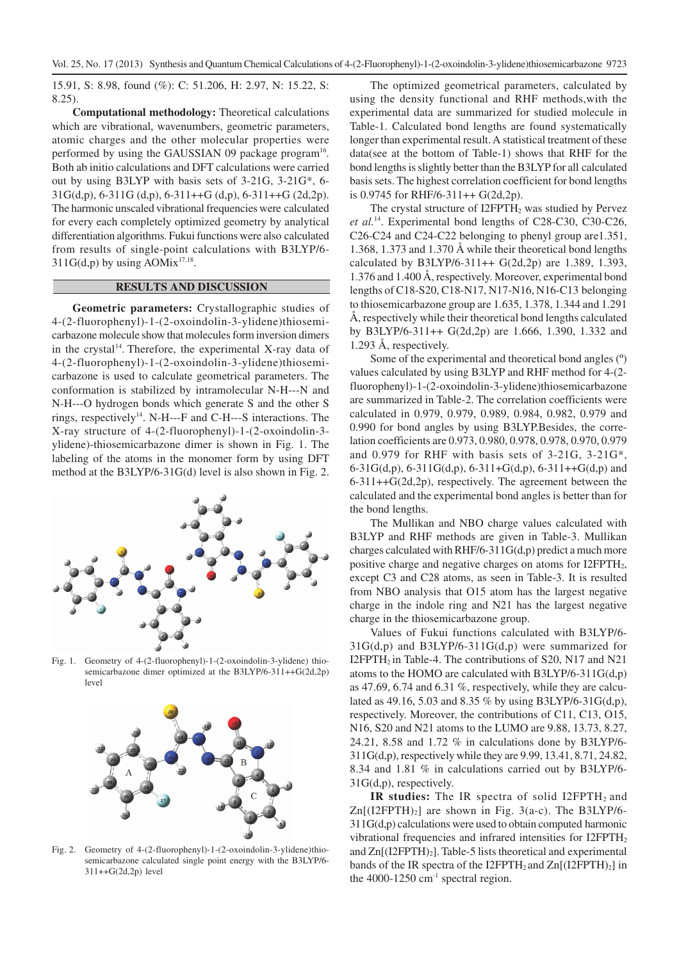15.91, S: 8.98, found (%): C: 51.206, H: 2.97, N: 15.22, S: 8.25).

**Computational methodology:** Theoretical calculations which are vibrational, wavenumbers, geometric parameters, atomic charges and the other molecular properties were performed by using the GAUSSIAN 09 package program<sup>16</sup>. Both ab initio calculations and DFT calculations were carried out by using B3LYP with basis sets of 3-21G, 3-21G\*, 6-  $31G(d,p)$ , 6-311G  $(d,p)$ , 6-311++G  $(d,p)$ , 6-311++G  $(2d,2p)$ . The harmonic unscaled vibrational frequencies were calculated for every each completely optimized geometry by analytical differentiation algorithms. Fukui functions were also calculated from results of single-point calculations with B3LYP/6- 311G(d,p) by using AOMix<sup>17,18</sup>.

## **RESULTS AND DISCUSSION**

**Geometric parameters:** Crystallographic studies of 4-(2-fluorophenyl)-1-(2-oxoindolin-3-ylidene)thiosemicarbazone molecule show that molecules form inversion dimers in the crystal<sup>14</sup>. Therefore, the experimental X-ray data of 4-(2-fluorophenyl)-1-(2-oxoindolin-3-ylidene)thiosemicarbazone is used to calculate geometrical parameters. The conformation is stabilized by intramolecular N-H---N and N-H---O hydrogen bonds which generate S and the other S rings, respectively<sup>14</sup>. N-H---F and C-H---S interactions. The X-ray structure of 4-(2-fluorophenyl)-1-(2-oxoindolin-3 ylidene)-thiosemicarbazone dimer is shown in Fig. 1. The labeling of the atoms in the monomer form by using DFT method at the B3LYP/6-31G(d) level is also shown in Fig. 2.



Fig. 1. Geometry of 4-(2-fluorophenyl)-1-(2-oxoindolin-3-ylidene) thiosemicarbazone dimer optimized at the B3LYP/6-311++G(2d,2p) level



Fig. 2. Geometry of 4-(2-fluorophenyl)-1-(2-oxoindolin-3-ylidene)thiosemicarbazone calculated single point energy with the B3LYP/6- 311++G(2d,2p) level

The optimized geometrical parameters, calculated by using the density functional and RHF methods,with the experimental data are summarized for studied molecule in Table-1. Calculated bond lengths are found systematically longer than experimental result. A statistical treatment of these data(see at the bottom of Table-1) shows that RHF for the bond lengths is slightly better than the B3LYP for all calculated basis sets. The highest correlation coefficient for bond lengths is 0.9745 for RHF/6-311++ G(2d,2p).

The crystal structure of I2FPTH<sub>2</sub> was studied by Pervez *et al.*<sup>14</sup>. Experimental bond lengths of C28-C30, C30-C26, C26-C24 and C24-C22 belonging to phenyl group are1.351, 1.368, 1.373 and 1.370 Å while their theoretical bond lengths calculated by B3LYP/6-311++ G(2d,2p) are 1.389, 1.393, 1.376 and 1.400 Å, respectively. Moreover, experimental bond lengths of C18-S20, C18-N17, N17-N16, N16-C13 belonging to thiosemicarbazone group are 1.635, 1.378, 1.344 and 1.291 Å, respectively while their theoretical bond lengths calculated by B3LYP/6-311++ G(2d,2p) are 1.666, 1.390, 1.332 and 1.293 Å, respectively.

Some of the experimental and theoretical bond angles (º) values calculated by using B3LYP and RHF method for 4-(2 fluorophenyl)-1-(2-oxoindolin-3-ylidene)thiosemicarbazone are summarized in Table-2. The correlation coefficients were calculated in 0.979, 0.979, 0.989, 0.984, 0.982, 0.979 and 0.990 for bond angles by using B3LYP.Besides, the correlation coefficients are 0.973, 0.980, 0.978, 0.978, 0.970, 0.979 and 0.979 for RHF with basis sets of 3-21G, 3-21G\*, 6-31G(d,p), 6-311G(d,p), 6-311+G(d,p), 6-311++G(d,p) and 6-311++G(2d,2p), respectively. The agreement between the calculated and the experimental bond angles is better than for the bond lengths.

The Mullikan and NBO charge values calculated with B3LYP and RHF methods are given in Table-3. Mullikan charges calculated with RHF/6-311G(d,p) predict a much more positive charge and negative charges on atoms for I2FPTH2, except C3 and C28 atoms, as seen in Table-3. It is resulted from NBO analysis that O15 atom has the largest negative charge in the indole ring and N21 has the largest negative charge in the thiosemicarbazone group.

Values of Fukui functions calculated with B3LYP/6- 31G(d,p) and B3LYP/6-311G(d,p) were summarized for I2FPTH<sub>2</sub> in Table-4. The contributions of S20, N17 and N21 atoms to the HOMO are calculated with B3LYP/6-311G(d,p) as 47.69, 6.74 and 6.31 %, respectively, while they are calculated as 49.16, 5.03 and 8.35 % by using B3LYP/6-31G(d,p), respectively. Moreover, the contributions of C11, C13, O15, N16, S20 and N21 atoms to the LUMO are 9.88, 13.73, 8.27, 24.21, 8.58 and 1.72 % in calculations done by B3LYP/6- 311G(d,p), respectively while they are 9.99, 13.41, 8.71, 24.82, 8.34 and 1.81 % in calculations carried out by B3LYP/6- 31G(d,p), respectively.

**IR studies:** The IR spectra of solid I2FPTH<sub>2</sub> and  $Zn[(12FPTH)_2]$  are shown in Fig. 3(a-c). The B3LYP/6-311G(d,p) calculations were used to obtain computed harmonic vibrational frequencies and infrared intensities for I2FPTH<sup>2</sup> and  $Zn[(12FPTH)<sub>2</sub>]$ . Table-5 lists theoretical and experimental bands of the IR spectra of the I2FPTH<sub>2</sub> and  $\text{Zn}[(\text{12FPTH})_2]$  in the 4000-1250  $cm^{-1}$  spectral region.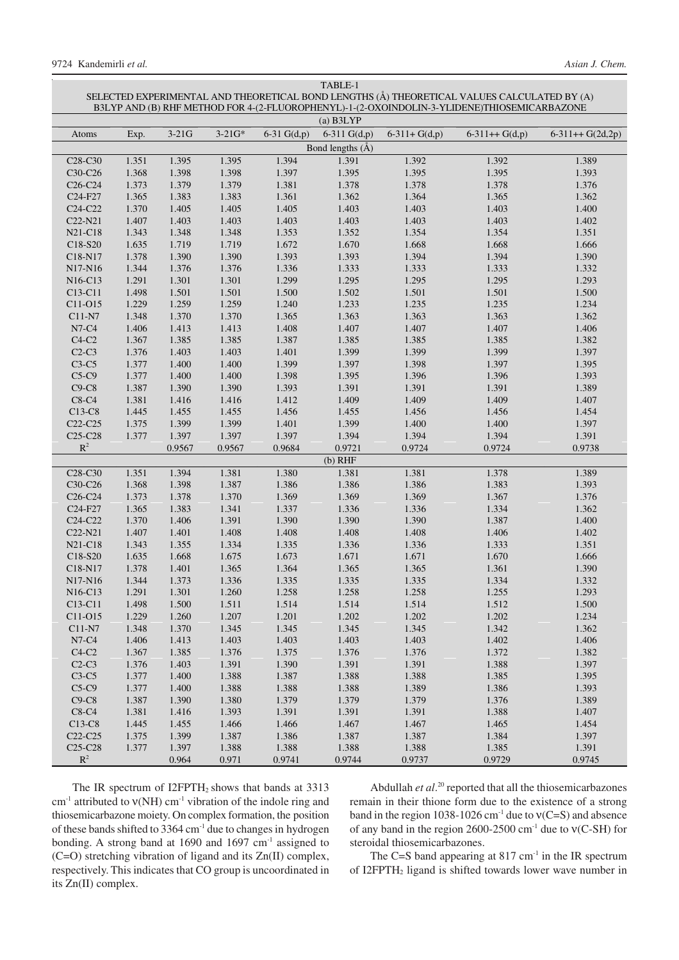| SELECTED EXPERIMENTAL AND THEORETICAL BOND LENGTHS (Å) THEORETICAL VALUES CALCULATED BY (A)<br>B3LYP AND (B) RHF METHOD FOR 4-(2-FLUOROPHENYL)-1-(2-OXOINDOLIN-3-YLIDENE)THIOSEMICARBAZONE |       |         |          |               |                    |                |                 |                   |  |
|--------------------------------------------------------------------------------------------------------------------------------------------------------------------------------------------|-------|---------|----------|---------------|--------------------|----------------|-----------------|-------------------|--|
| $(a)$ B3LYP                                                                                                                                                                                |       |         |          |               |                    |                |                 |                   |  |
| Atoms                                                                                                                                                                                      | Exp.  | $3-21G$ | $3-21G*$ | 6-31 $G(d,p)$ | 6-311 $G(d,p)$     | $6-311+G(d,p)$ | $6-311++G(d,p)$ | $6-311++G(2d,2p)$ |  |
|                                                                                                                                                                                            |       |         |          |               | Bond lengths $(A)$ |                |                 |                   |  |
| C <sub>28</sub> -C <sub>30</sub>                                                                                                                                                           | 1.351 | 1.395   | 1.395    | 1.394         | 1.391              | 1.392          | 1.392           | 1.389             |  |
| C30-C26                                                                                                                                                                                    | 1.368 | 1.398   | 1.398    | 1.397         | 1.395              | 1.395          | 1.395           | 1.393             |  |
| C <sub>26</sub> -C <sub>24</sub>                                                                                                                                                           | 1.373 | 1.379   | 1.379    | 1.381         | 1.378              | 1.378          | 1.378           | 1.376             |  |
| C <sub>24</sub> -F <sub>27</sub>                                                                                                                                                           | 1.365 | 1.383   | 1.383    | 1.361         | 1.362              | 1.364          | 1.365           | 1.362             |  |
| C <sub>24</sub> -C <sub>22</sub>                                                                                                                                                           | 1.370 | 1.405   | 1.405    | 1.405         | 1.403              | 1.403          | 1.403           | 1.400             |  |
| C22-N21                                                                                                                                                                                    | 1.407 | 1.403   | 1.403    | 1.403         | 1.403              | 1.403          | 1.403           | 1.402             |  |
| N21-C18                                                                                                                                                                                    | 1.343 | 1.348   | 1.348    | 1.353         | 1.352              | 1.354          | 1.354           | 1.351             |  |
| C18-S20                                                                                                                                                                                    | 1.635 | 1.719   | 1.719    | 1.672         | 1.670              | 1.668          | 1.668           | 1.666             |  |
| C18-N17                                                                                                                                                                                    | 1.378 | 1.390   | 1.390    | 1.393         | 1.393              | 1.394          | 1.394           | 1.390             |  |
| N17-N16                                                                                                                                                                                    | 1.344 | 1.376   | 1.376    | 1.336         | 1.333              | 1.333          | 1.333           | 1.332             |  |
| N <sub>16</sub> -C <sub>13</sub>                                                                                                                                                           | 1.291 | 1.301   | 1.301    | 1.299         | 1.295              | 1.295          | 1.295           | 1.293             |  |
| C <sub>13</sub> -C <sub>11</sub>                                                                                                                                                           | 1.498 | 1.501   | 1.501    | 1.500         | 1.502              | 1.501          | 1.501           | 1.500             |  |
| C11-O15                                                                                                                                                                                    | 1.229 | 1.259   | 1.259    | 1.240         | 1.233              | 1.235          | 1.235           | 1.234             |  |
| C11-N7                                                                                                                                                                                     | 1.348 | 1.370   | 1.370    | 1.365         | 1.363              | 1.363          | 1.363           | 1.362             |  |
| N7-C4                                                                                                                                                                                      | 1.406 | 1.413   | 1.413    | 1.408         | 1.407              | 1.407          | 1.407           | 1.406             |  |
| $C4-C2$                                                                                                                                                                                    | 1.367 | 1.385   | 1.385    | 1.387         | 1.385              | 1.385          | 1.385           | 1.382             |  |
| $C2-C3$                                                                                                                                                                                    | 1.376 | 1.403   | 1.403    | 1.401         | 1.399              | 1.399          | 1.399           | 1.397             |  |
| $C3-C5$                                                                                                                                                                                    | 1.377 | 1.400   | 1.400    | 1.399         | 1.397              | 1.398          | 1.397           | 1.395             |  |
| $C5-C9$                                                                                                                                                                                    | 1.377 | 1.400   | 1.400    | 1.398         | 1.395              | 1.396          | 1.396           | 1.393             |  |
| $C9-C8$                                                                                                                                                                                    | 1.387 | 1.390   | 1.390    | 1.393         | 1.391              | 1.391          | 1.391           | 1.389             |  |
| $C8-C4$                                                                                                                                                                                    | 1.381 | 1.416   | 1.416    | 1.412         | 1.409              | 1.409          | 1.409           | 1.407             |  |
| $C13-C8$                                                                                                                                                                                   | 1.445 | 1.455   | 1.455    | 1.456         | 1.455              | 1.456          | 1.456           | 1.454             |  |
| C <sub>22</sub> -C <sub>25</sub>                                                                                                                                                           | 1.375 | 1.399   | 1.399    | 1.401         | 1.399              | 1.400          | 1.400           | 1.397             |  |
| C <sub>25</sub> -C <sub>28</sub>                                                                                                                                                           | 1.377 | 1.397   | 1.397    | 1.397         | 1.394              | 1.394          | 1.394           | 1.391             |  |
| $\mathbb{R}^2$                                                                                                                                                                             |       | 0.9567  | 0.9567   | 0.9684        | 0.9721             | 0.9724         | 0.9724          | 0.9738            |  |
| $(b)$ RHF                                                                                                                                                                                  |       |         |          |               |                    |                |                 |                   |  |
| C <sub>28</sub> -C <sub>30</sub>                                                                                                                                                           | 1.351 | 1.394   | 1.381    | 1.380         | 1.381              | 1.381          | 1.378           | 1.389             |  |
| C30-C26                                                                                                                                                                                    | 1.368 | 1.398   | 1.387    | 1.386         | 1.386              | 1.386          | 1.383           | 1.393             |  |
| C <sub>26</sub> -C <sub>24</sub>                                                                                                                                                           | 1.373 | 1.378   | 1.370    | 1.369         | 1.369              | 1.369          | 1.367           | 1.376             |  |
| C <sub>24</sub> -F <sub>27</sub>                                                                                                                                                           | 1.365 | 1.383   | 1.341    | 1.337         | 1.336              | 1.336          | 1.334           | 1.362             |  |
| C <sub>24</sub> -C <sub>22</sub>                                                                                                                                                           | 1.370 | 1.406   | 1.391    | 1.390         | 1.390              | 1.390          | 1.387           | 1.400             |  |
| C22-N21                                                                                                                                                                                    | 1.407 | 1.401   | 1.408    | 1.408         | 1.408              | 1.408          | 1.406           | 1.402             |  |
| N21-C18                                                                                                                                                                                    | 1.343 | 1.355   | 1.334    | 1.335         | 1.336              | 1.336          | 1.333           | 1.351             |  |
| C18-S20                                                                                                                                                                                    | 1.635 | 1.668   | 1.675    | 1.673         | 1.671              | 1.671          | 1.670           | 1.666             |  |
| C18-N17                                                                                                                                                                                    | 1.378 | 1.401   | 1.365    | 1.364         | 1.365              | 1.365          | 1.361           | 1.390             |  |
| N17-N16                                                                                                                                                                                    | 1.344 | 1.373   | 1.336    | 1.335         | 1.335              | 1.335          | 1.334           | 1.332             |  |
| N16-C13                                                                                                                                                                                    | 1.291 | 1.301   | 1.260    | 1.258         | 1.258              | 1.258          | 1.255           | 1.293             |  |
| C13-C11                                                                                                                                                                                    | 1.498 | 1.500   | 1.511    | 1.514         | 1.514              | 1.514          | 1.512           | 1.500             |  |
| C11-O15                                                                                                                                                                                    | 1.229 | 1.260   | 1.207    | 1.201         | 1.202              | 1.202          | 1.202           | 1.234             |  |
| C11-N7                                                                                                                                                                                     | 1.348 | 1.370   | 1.345    | 1.345         | 1.345              | 1.345          | 1.342           | 1.362             |  |
| N7-C4                                                                                                                                                                                      | 1.406 | 1.413   | 1.403    | 1.403         | 1.403              | 1.403          | 1.402           | 1.406             |  |
| $C4-C2$                                                                                                                                                                                    | 1.367 | 1.385   | 1.376    | 1.375         | 1.376              | 1.376          | 1.372           | 1.382             |  |
| $C2-C3$                                                                                                                                                                                    | 1.376 | 1.403   | 1.391    | 1.390         | 1.391              | 1.391          | 1.388           | 1.397             |  |
| $C3-C5$                                                                                                                                                                                    | 1.377 | 1.400   | 1.388    | 1.387         | 1.388              | 1.388          | 1.385           | 1.395             |  |
| $C5-C9$                                                                                                                                                                                    | 1.377 | 1.400   | 1.388    | 1.388         | 1.388              | 1.389          | 1.386           | 1.393             |  |
| $C9-C8$                                                                                                                                                                                    | 1.387 | 1.390   | 1.380    | 1.379         | 1.379              | 1.379          | 1.376           | 1.389             |  |
| $C8-C4$                                                                                                                                                                                    | 1.381 | 1.416   | 1.393    | 1.391         | 1.391              | 1.391          | 1.388           | 1.407             |  |
| C13-C8                                                                                                                                                                                     | 1.445 | 1.455   | 1.466    | 1.466         | 1.467              | 1.467          | 1.465           | 1.454             |  |
| $C22-C25$                                                                                                                                                                                  | 1.375 | 1.399   | 1.387    | 1.386         | 1.387              | 1.387          | 1.384           | 1.397             |  |
| C <sub>25</sub> -C <sub>28</sub>                                                                                                                                                           | 1.377 | 1.397   | 1.388    | 1.388         | 1.388              | 1.388          | 1.385           | 1.391             |  |
| $\mathbb{R}^2$                                                                                                                                                                             |       | 0.964   | 0.971    | 0.9741        | 0.9744             | 0.9737         | 0.9729          | 0.9745            |  |

TABLE-1

The IR spectrum of I2FPTH<sub>2</sub> shows that bands at 3313 cm<sup>-1</sup> attributed to  $v(NH)$  cm<sup>-1</sup> vibration of the indole ring and thiosemicarbazone moiety. On complex formation, the position of these bands shifted to 3364 cm-1 due to changes in hydrogen bonding. A strong band at 1690 and 1697 cm*-*<sup>1</sup> assigned to (C=O) stretching vibration of ligand and its Zn(II) complex, respectively. This indicates that CO group is uncoordinated in its Zn(II) complex.

Abdullah *et al*. <sup>20</sup> reported that all the thiosemicarbazones remain in their thione form due to the existence of a strong band in the region 1038-1026 cm<sup>-1</sup> due to  $v(C=S)$  and absence of any band in the region 2600-2500 cm-1 due to ν(C-SH) for steroidal thiosemicarbazones.

The C=S band appearing at  $817 \text{ cm}^{-1}$  in the IR spectrum of I2FPTH2 ligand is shifted towards lower wave number in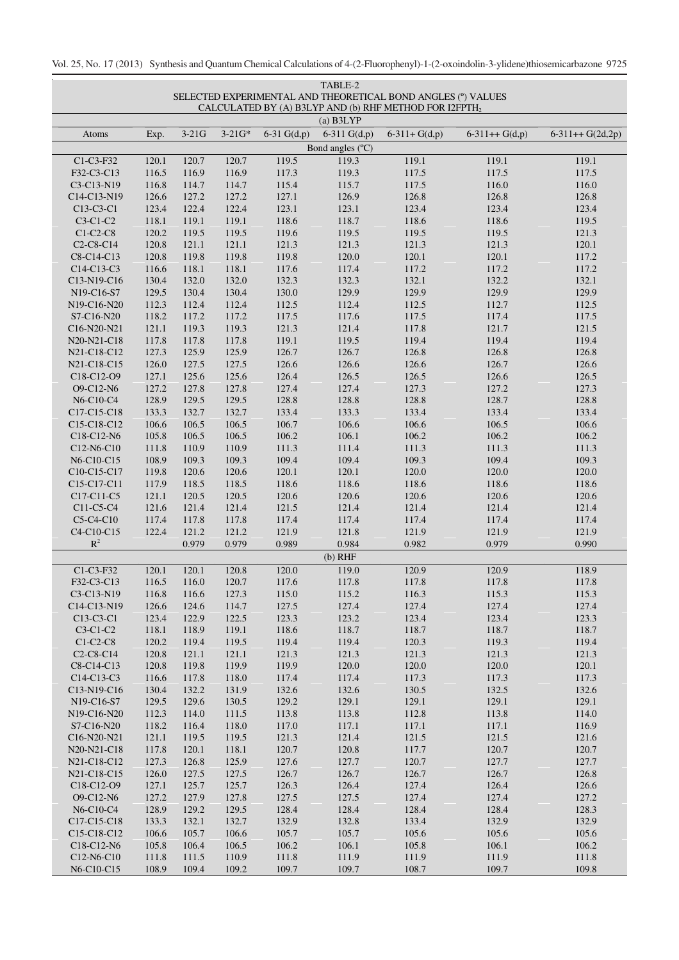Vol. 25, No. 17 (2013) Synthesis and Quantum Chemical Calculations of 4-(2-Fluorophenyl)-1-(2-oxoindolin-3-ylidene)thiosemicarbazone 9725

| CALCULATED BY (A) B3LYP AND (b) RHF METHOD FOR I2FPTH <sub>2</sub><br>$(a)$ B3LYP<br>$3-21G$<br>6-31 $G(d,p)$<br>6-311 $G(d,p)$<br>$3 - 21G*$<br>$6-311+G(d,p)$<br>$6-311++G(d,p)$<br>$6-311++G(2d,2p)$<br>Atoms<br>Exp.<br>Bond angles (°C)<br>C1-C3-F32<br>120.7<br>119.5<br>119.3<br>119.1<br>119.1<br>119.1<br>120.1<br>120.7<br>F32-C3-C13<br>116.5<br>116.9<br>116.9<br>117.3<br>119.3<br>117.5<br>117.5<br>117.5<br>116.0<br>116.0<br>C3-C13-N19<br>116.8<br>114.7<br>114.7<br>115.4<br>115.7<br>117.5<br>127.2<br>126.8<br>C14-C13-N19<br>126.6<br>127.2<br>127.1<br>126.9<br>126.8<br>126.8<br>122.4<br>123.4<br>123.4<br>123.4<br>C13-C3-C1<br>123.4<br>122.4<br>123.1<br>123.1<br>$C3-C1-C2$<br>118.1<br>119.1<br>119.1<br>118.6<br>118.7<br>118.6<br>118.6<br>119.5<br>121.3<br>$C1-C2-C8$<br>120.2<br>119.5<br>119.5<br>119.6<br>119.5<br>119.5<br>119.5<br>121.3<br>C <sub>2</sub> -C <sub>8</sub> -C <sub>14</sub><br>120.8<br>121.1<br>121.1<br>121.3<br>121.3<br>121.3<br>120.1<br>120.8<br>119.8<br>119.8<br>120.0<br>120.1<br>120.1<br>117.2<br>C8-C14-C13<br>119.8<br>116.6<br>118.1<br>118.1<br>117.6<br>117.2<br>117.2<br>117.2<br>C14-C13-C3<br>117.4<br>132.1<br>132.1<br>C13-N19-C16<br>130.4<br>132.0<br>132.0<br>132.3<br>132.3<br>132.2<br>129.9<br>129.9<br>129.9<br>N19-C16-S7<br>129.5<br>130.4<br>130.4<br>130.0<br>129.9<br>N19-C16-N20<br>112.3<br>112.4<br>112.4<br>112.5<br>112.4<br>112.5<br>112.7<br>112.5<br>118.2<br>117.2<br>117.2<br>117.5<br>117.6<br>117.5<br>117.4<br>117.5<br>S7-C16-N20<br>121.5<br>121.1<br>119.3<br>119.3<br>121.3<br>121.4<br>117.8<br>121.7<br>C16-N20-N21<br>119.4<br>119.4<br>119.4<br>N20-N21-C18<br>117.8<br>117.8<br>117.8<br>119.1<br>119.5<br>N21-C18-C12<br>125.9<br>125.9<br>126.7<br>126.7<br>126.8<br>126.8<br>126.8<br>127.3<br>127.5<br>N21-C18-C15<br>126.0<br>127.5<br>126.6<br>126.6<br>126.6<br>126.7<br>126.6<br>125.6<br>125.6<br>C18-C12-O9<br>127.1<br>126.4<br>126.5<br>126.5<br>126.6<br>126.5<br>127.8<br>127.8<br>127.3<br>127.3<br>O9-C12-N6<br>127.2<br>127.4<br>127.4<br>127.2<br>N6-C10-C4<br>128.9<br>129.5<br>129.5<br>128.8<br>128.8<br>128.8<br>128.7<br>128.8<br>133.4<br>C17-C15-C18<br>133.3<br>132.7<br>132.7<br>133.4<br>133.3<br>133.4<br>133.4<br>106.6<br>106.6<br>106.6<br>106.5<br>106.5<br>106.7<br>106.6<br>106.5<br>C15-C18-C12<br>105.8<br>106.5<br>106.5<br>106.2<br>106.1<br>106.2<br>106.2<br>106.2<br>C18-C12-N6<br>C12-N6-C10<br>110.9<br>110.9<br>111.3<br>111.4<br>111.3<br>111.3<br>111.3<br>111.8<br>109.3<br>109.3<br>109.4<br>109.3<br>N6-C10-C15<br>108.9<br>109.3<br>109.4<br>109.4<br>120.0<br>C10-C15-C17<br>119.8<br>120.6<br>120.6<br>120.1<br>120.1<br>120.0<br>120.0<br>118.5<br>118.6<br>118.6<br>118.6<br>C15-C17-C11<br>117.9<br>118.5<br>118.6<br>118.6<br>120.6<br>120.6<br>C17-C11-C5<br>121.1<br>120.5<br>120.5<br>120.6<br>120.6<br>120.6<br>C11-C5-C4<br>121.6<br>121.4<br>121.4<br>121.5<br>121.4<br>121.4<br>121.4<br>121.4<br>C5-C4-C10<br>117.4<br>117.8<br>117.8<br>117.4<br>117.4<br>117.4<br>117.4<br>117.4<br>121.9<br>C4-C10-C15<br>122.4<br>121.2<br>121.2<br>121.9<br>121.8<br>121.9<br>121.9<br>$\mathbb{R}^2$<br>0.979<br>0.979<br>0.989<br>0.984<br>0.982<br>0.979<br>0.990<br>$(b)$ RHF<br>C1-C3-F32<br>119.0<br>118.9<br>120.1<br>120.1<br>120.8<br>120.0<br>120.9<br>120.9<br>F32-C3-C13<br>116.5<br>116.0<br>120.7<br>117.8<br>117.8<br>117.8<br>117.6<br>117.8<br>127.3<br>116.3<br>115.3<br>115.3<br>C3-C13-N19<br>116.8<br>116.6<br>115.0<br>115.2<br>C14-C13-N19<br>126.6<br>114.7<br>127.5<br>127.4<br>127.4<br>127.4<br>127.4<br>124.6<br>122.5<br>123.3<br>123.2<br>123.4<br>123.4<br>123.3<br>C <sub>13</sub> -C <sub>3</sub> -C <sub>1</sub><br>123.4<br>122.9<br>118.7<br>$C3-C1-C2$<br>118.1<br>118.9<br>119.1<br>118.6<br>118.7<br>118.7<br>118.7<br>$C1-C2-C8$<br>120.2<br>119.4<br>119.5<br>119.4<br>119.4<br>120.3<br>119.3<br>119.4<br>121.3<br>120.8<br>121.1<br>121.1<br>121.3<br>121.3<br>121.3<br>121.3<br>$C2-C8-C14$<br>120.8<br>119.9<br>119.9<br>120.0<br>120.0<br>120.0<br>120.1<br>C8-C14-C13<br>119.8<br>C14-C13-C3<br>116.6<br>117.8<br>118.0<br>117.4<br>117.4<br>117.3<br>117.3<br>117.3<br>132.2<br>131.9<br>132.6<br>130.5<br>132.5<br>132.6<br>C13-N19-C16<br>130.4<br>132.6<br>129.5<br>129.2<br>129.1<br>129.1<br>129.1<br>N19-C16-S7<br>129.6<br>130.5<br>129.1<br>114.0<br>N19-C16-N20<br>112.3<br>114.0<br>111.5<br>113.8<br>113.8<br>112.8<br>113.8<br>116.9<br>S7-C16-N20<br>118.2<br>116.4<br>118.0<br>117.0<br>117.1<br>117.1<br>117.1<br>121.1<br>119.5<br>119.5<br>121.3<br>121.4<br>121.5<br>121.5<br>121.6<br>C16-N20-N21<br>118.1<br>120.7<br>120.7<br>120.7<br>N20-N21-C18<br>117.8<br>120.1<br>120.8<br>117.7<br>127.3<br>125.9<br>127.6<br>127.7<br>120.7<br>127.7<br>N21-C18-C12<br>126.8<br>127.7<br>127.5<br>126.7<br>126.8<br>N21-C18-C15<br>126.0<br>127.5<br>126.7<br>126.7<br>126.7<br>125.7<br>125.7<br>126.3<br>127.4<br>126.4<br>126.6<br>C18-C12-O9<br>127.1<br>126.4<br>127.9<br>127.5<br>127.5<br>127.4<br>127.2<br>O9-C12-N6<br>127.2<br>127.8<br>127.4<br>128.9<br>129.5<br>128.4<br>128.4<br>128.4<br>128.3<br>N6-C10-C4<br>129.2<br>128.4<br>132.7<br>133.4<br>132.9<br>C17-C15-C18<br>133.3<br>132.1<br>132.9<br>132.8<br>132.9<br>106.6<br>105.7<br>105.7<br>105.6<br>105.6<br>105.6<br>C15-C18-C12<br>106.6<br>105.7<br>105.8<br>106.4<br>106.5<br>106.2<br>106.1<br>105.8<br>106.1<br>106.2<br>C18-C12-N6<br>110.9<br>111.9<br>111.9<br>111.9<br>111.8<br>C12-N6-C10<br>111.8<br>111.5<br>111.8 | TABLE-2<br>SELECTED EXPERIMENTAL AND THEORETICAL BOND ANGLES (°) VALUES |       |       |       |       |       |       |       |       |  |
|----------------------------------------------------------------------------------------------------------------------------------------------------------------------------------------------------------------------------------------------------------------------------------------------------------------------------------------------------------------------------------------------------------------------------------------------------------------------------------------------------------------------------------------------------------------------------------------------------------------------------------------------------------------------------------------------------------------------------------------------------------------------------------------------------------------------------------------------------------------------------------------------------------------------------------------------------------------------------------------------------------------------------------------------------------------------------------------------------------------------------------------------------------------------------------------------------------------------------------------------------------------------------------------------------------------------------------------------------------------------------------------------------------------------------------------------------------------------------------------------------------------------------------------------------------------------------------------------------------------------------------------------------------------------------------------------------------------------------------------------------------------------------------------------------------------------------------------------------------------------------------------------------------------------------------------------------------------------------------------------------------------------------------------------------------------------------------------------------------------------------------------------------------------------------------------------------------------------------------------------------------------------------------------------------------------------------------------------------------------------------------------------------------------------------------------------------------------------------------------------------------------------------------------------------------------------------------------------------------------------------------------------------------------------------------------------------------------------------------------------------------------------------------------------------------------------------------------------------------------------------------------------------------------------------------------------------------------------------------------------------------------------------------------------------------------------------------------------------------------------------------------------------------------------------------------------------------------------------------------------------------------------------------------------------------------------------------------------------------------------------------------------------------------------------------------------------------------------------------------------------------------------------------------------------------------------------------------------------------------------------------------------------------------------------------------------------------------------------------------------------------------------------------------------------------------------------------------------------------------------------------------------------------------------------------------------------------------------------------------------------------------------------------------------------------------------------------------------------------------------------------------------------------------------------------------------------------------------------------------------------------------------------------------------------------------------------------------------------------------------------------------------------------------------------------------------------------------------------------------------------------------------------------------------------------------------------------------------------------------------------------------------------------------------------------------------------------------------------------------------------------------------------------------------------------------------------------------------------------------------------------------------------------------------------------------------------------------------------------------------------------------------------------------------------------------------------------------------------------------------------------------------------------------------------------------------------------------------------------------------------------------------------------------------------------------------------------------------------------------------------------------------------------------------------------------------------------------------------------------------------------------------------------------|-------------------------------------------------------------------------|-------|-------|-------|-------|-------|-------|-------|-------|--|
|                                                                                                                                                                                                                                                                                                                                                                                                                                                                                                                                                                                                                                                                                                                                                                                                                                                                                                                                                                                                                                                                                                                                                                                                                                                                                                                                                                                                                                                                                                                                                                                                                                                                                                                                                                                                                                                                                                                                                                                                                                                                                                                                                                                                                                                                                                                                                                                                                                                                                                                                                                                                                                                                                                                                                                                                                                                                                                                                                                                                                                                                                                                                                                                                                                                                                                                                                                                                                                                                                                                                                                                                                                                                                                                                                                                                                                                                                                                                                                                                                                                                                                                                                                                                                                                                                                                                                                                                                                                                                                                                                                                                                                                                                                                                                                                                                                                                                                                                                                                                                                                                                                                                                                                                                                                                                                                                                                                                                                                                                                                                        |                                                                         |       |       |       |       |       |       |       |       |  |
|                                                                                                                                                                                                                                                                                                                                                                                                                                                                                                                                                                                                                                                                                                                                                                                                                                                                                                                                                                                                                                                                                                                                                                                                                                                                                                                                                                                                                                                                                                                                                                                                                                                                                                                                                                                                                                                                                                                                                                                                                                                                                                                                                                                                                                                                                                                                                                                                                                                                                                                                                                                                                                                                                                                                                                                                                                                                                                                                                                                                                                                                                                                                                                                                                                                                                                                                                                                                                                                                                                                                                                                                                                                                                                                                                                                                                                                                                                                                                                                                                                                                                                                                                                                                                                                                                                                                                                                                                                                                                                                                                                                                                                                                                                                                                                                                                                                                                                                                                                                                                                                                                                                                                                                                                                                                                                                                                                                                                                                                                                                                        |                                                                         |       |       |       |       |       |       |       |       |  |
|                                                                                                                                                                                                                                                                                                                                                                                                                                                                                                                                                                                                                                                                                                                                                                                                                                                                                                                                                                                                                                                                                                                                                                                                                                                                                                                                                                                                                                                                                                                                                                                                                                                                                                                                                                                                                                                                                                                                                                                                                                                                                                                                                                                                                                                                                                                                                                                                                                                                                                                                                                                                                                                                                                                                                                                                                                                                                                                                                                                                                                                                                                                                                                                                                                                                                                                                                                                                                                                                                                                                                                                                                                                                                                                                                                                                                                                                                                                                                                                                                                                                                                                                                                                                                                                                                                                                                                                                                                                                                                                                                                                                                                                                                                                                                                                                                                                                                                                                                                                                                                                                                                                                                                                                                                                                                                                                                                                                                                                                                                                                        |                                                                         |       |       |       |       |       |       |       |       |  |
|                                                                                                                                                                                                                                                                                                                                                                                                                                                                                                                                                                                                                                                                                                                                                                                                                                                                                                                                                                                                                                                                                                                                                                                                                                                                                                                                                                                                                                                                                                                                                                                                                                                                                                                                                                                                                                                                                                                                                                                                                                                                                                                                                                                                                                                                                                                                                                                                                                                                                                                                                                                                                                                                                                                                                                                                                                                                                                                                                                                                                                                                                                                                                                                                                                                                                                                                                                                                                                                                                                                                                                                                                                                                                                                                                                                                                                                                                                                                                                                                                                                                                                                                                                                                                                                                                                                                                                                                                                                                                                                                                                                                                                                                                                                                                                                                                                                                                                                                                                                                                                                                                                                                                                                                                                                                                                                                                                                                                                                                                                                                        |                                                                         |       |       |       |       |       |       |       |       |  |
|                                                                                                                                                                                                                                                                                                                                                                                                                                                                                                                                                                                                                                                                                                                                                                                                                                                                                                                                                                                                                                                                                                                                                                                                                                                                                                                                                                                                                                                                                                                                                                                                                                                                                                                                                                                                                                                                                                                                                                                                                                                                                                                                                                                                                                                                                                                                                                                                                                                                                                                                                                                                                                                                                                                                                                                                                                                                                                                                                                                                                                                                                                                                                                                                                                                                                                                                                                                                                                                                                                                                                                                                                                                                                                                                                                                                                                                                                                                                                                                                                                                                                                                                                                                                                                                                                                                                                                                                                                                                                                                                                                                                                                                                                                                                                                                                                                                                                                                                                                                                                                                                                                                                                                                                                                                                                                                                                                                                                                                                                                                                        |                                                                         |       |       |       |       |       |       |       |       |  |
|                                                                                                                                                                                                                                                                                                                                                                                                                                                                                                                                                                                                                                                                                                                                                                                                                                                                                                                                                                                                                                                                                                                                                                                                                                                                                                                                                                                                                                                                                                                                                                                                                                                                                                                                                                                                                                                                                                                                                                                                                                                                                                                                                                                                                                                                                                                                                                                                                                                                                                                                                                                                                                                                                                                                                                                                                                                                                                                                                                                                                                                                                                                                                                                                                                                                                                                                                                                                                                                                                                                                                                                                                                                                                                                                                                                                                                                                                                                                                                                                                                                                                                                                                                                                                                                                                                                                                                                                                                                                                                                                                                                                                                                                                                                                                                                                                                                                                                                                                                                                                                                                                                                                                                                                                                                                                                                                                                                                                                                                                                                                        |                                                                         |       |       |       |       |       |       |       |       |  |
|                                                                                                                                                                                                                                                                                                                                                                                                                                                                                                                                                                                                                                                                                                                                                                                                                                                                                                                                                                                                                                                                                                                                                                                                                                                                                                                                                                                                                                                                                                                                                                                                                                                                                                                                                                                                                                                                                                                                                                                                                                                                                                                                                                                                                                                                                                                                                                                                                                                                                                                                                                                                                                                                                                                                                                                                                                                                                                                                                                                                                                                                                                                                                                                                                                                                                                                                                                                                                                                                                                                                                                                                                                                                                                                                                                                                                                                                                                                                                                                                                                                                                                                                                                                                                                                                                                                                                                                                                                                                                                                                                                                                                                                                                                                                                                                                                                                                                                                                                                                                                                                                                                                                                                                                                                                                                                                                                                                                                                                                                                                                        |                                                                         |       |       |       |       |       |       |       |       |  |
|                                                                                                                                                                                                                                                                                                                                                                                                                                                                                                                                                                                                                                                                                                                                                                                                                                                                                                                                                                                                                                                                                                                                                                                                                                                                                                                                                                                                                                                                                                                                                                                                                                                                                                                                                                                                                                                                                                                                                                                                                                                                                                                                                                                                                                                                                                                                                                                                                                                                                                                                                                                                                                                                                                                                                                                                                                                                                                                                                                                                                                                                                                                                                                                                                                                                                                                                                                                                                                                                                                                                                                                                                                                                                                                                                                                                                                                                                                                                                                                                                                                                                                                                                                                                                                                                                                                                                                                                                                                                                                                                                                                                                                                                                                                                                                                                                                                                                                                                                                                                                                                                                                                                                                                                                                                                                                                                                                                                                                                                                                                                        |                                                                         |       |       |       |       |       |       |       |       |  |
|                                                                                                                                                                                                                                                                                                                                                                                                                                                                                                                                                                                                                                                                                                                                                                                                                                                                                                                                                                                                                                                                                                                                                                                                                                                                                                                                                                                                                                                                                                                                                                                                                                                                                                                                                                                                                                                                                                                                                                                                                                                                                                                                                                                                                                                                                                                                                                                                                                                                                                                                                                                                                                                                                                                                                                                                                                                                                                                                                                                                                                                                                                                                                                                                                                                                                                                                                                                                                                                                                                                                                                                                                                                                                                                                                                                                                                                                                                                                                                                                                                                                                                                                                                                                                                                                                                                                                                                                                                                                                                                                                                                                                                                                                                                                                                                                                                                                                                                                                                                                                                                                                                                                                                                                                                                                                                                                                                                                                                                                                                                                        |                                                                         |       |       |       |       |       |       |       |       |  |
|                                                                                                                                                                                                                                                                                                                                                                                                                                                                                                                                                                                                                                                                                                                                                                                                                                                                                                                                                                                                                                                                                                                                                                                                                                                                                                                                                                                                                                                                                                                                                                                                                                                                                                                                                                                                                                                                                                                                                                                                                                                                                                                                                                                                                                                                                                                                                                                                                                                                                                                                                                                                                                                                                                                                                                                                                                                                                                                                                                                                                                                                                                                                                                                                                                                                                                                                                                                                                                                                                                                                                                                                                                                                                                                                                                                                                                                                                                                                                                                                                                                                                                                                                                                                                                                                                                                                                                                                                                                                                                                                                                                                                                                                                                                                                                                                                                                                                                                                                                                                                                                                                                                                                                                                                                                                                                                                                                                                                                                                                                                                        |                                                                         |       |       |       |       |       |       |       |       |  |
|                                                                                                                                                                                                                                                                                                                                                                                                                                                                                                                                                                                                                                                                                                                                                                                                                                                                                                                                                                                                                                                                                                                                                                                                                                                                                                                                                                                                                                                                                                                                                                                                                                                                                                                                                                                                                                                                                                                                                                                                                                                                                                                                                                                                                                                                                                                                                                                                                                                                                                                                                                                                                                                                                                                                                                                                                                                                                                                                                                                                                                                                                                                                                                                                                                                                                                                                                                                                                                                                                                                                                                                                                                                                                                                                                                                                                                                                                                                                                                                                                                                                                                                                                                                                                                                                                                                                                                                                                                                                                                                                                                                                                                                                                                                                                                                                                                                                                                                                                                                                                                                                                                                                                                                                                                                                                                                                                                                                                                                                                                                                        |                                                                         |       |       |       |       |       |       |       |       |  |
|                                                                                                                                                                                                                                                                                                                                                                                                                                                                                                                                                                                                                                                                                                                                                                                                                                                                                                                                                                                                                                                                                                                                                                                                                                                                                                                                                                                                                                                                                                                                                                                                                                                                                                                                                                                                                                                                                                                                                                                                                                                                                                                                                                                                                                                                                                                                                                                                                                                                                                                                                                                                                                                                                                                                                                                                                                                                                                                                                                                                                                                                                                                                                                                                                                                                                                                                                                                                                                                                                                                                                                                                                                                                                                                                                                                                                                                                                                                                                                                                                                                                                                                                                                                                                                                                                                                                                                                                                                                                                                                                                                                                                                                                                                                                                                                                                                                                                                                                                                                                                                                                                                                                                                                                                                                                                                                                                                                                                                                                                                                                        |                                                                         |       |       |       |       |       |       |       |       |  |
|                                                                                                                                                                                                                                                                                                                                                                                                                                                                                                                                                                                                                                                                                                                                                                                                                                                                                                                                                                                                                                                                                                                                                                                                                                                                                                                                                                                                                                                                                                                                                                                                                                                                                                                                                                                                                                                                                                                                                                                                                                                                                                                                                                                                                                                                                                                                                                                                                                                                                                                                                                                                                                                                                                                                                                                                                                                                                                                                                                                                                                                                                                                                                                                                                                                                                                                                                                                                                                                                                                                                                                                                                                                                                                                                                                                                                                                                                                                                                                                                                                                                                                                                                                                                                                                                                                                                                                                                                                                                                                                                                                                                                                                                                                                                                                                                                                                                                                                                                                                                                                                                                                                                                                                                                                                                                                                                                                                                                                                                                                                                        |                                                                         |       |       |       |       |       |       |       |       |  |
|                                                                                                                                                                                                                                                                                                                                                                                                                                                                                                                                                                                                                                                                                                                                                                                                                                                                                                                                                                                                                                                                                                                                                                                                                                                                                                                                                                                                                                                                                                                                                                                                                                                                                                                                                                                                                                                                                                                                                                                                                                                                                                                                                                                                                                                                                                                                                                                                                                                                                                                                                                                                                                                                                                                                                                                                                                                                                                                                                                                                                                                                                                                                                                                                                                                                                                                                                                                                                                                                                                                                                                                                                                                                                                                                                                                                                                                                                                                                                                                                                                                                                                                                                                                                                                                                                                                                                                                                                                                                                                                                                                                                                                                                                                                                                                                                                                                                                                                                                                                                                                                                                                                                                                                                                                                                                                                                                                                                                                                                                                                                        |                                                                         |       |       |       |       |       |       |       |       |  |
|                                                                                                                                                                                                                                                                                                                                                                                                                                                                                                                                                                                                                                                                                                                                                                                                                                                                                                                                                                                                                                                                                                                                                                                                                                                                                                                                                                                                                                                                                                                                                                                                                                                                                                                                                                                                                                                                                                                                                                                                                                                                                                                                                                                                                                                                                                                                                                                                                                                                                                                                                                                                                                                                                                                                                                                                                                                                                                                                                                                                                                                                                                                                                                                                                                                                                                                                                                                                                                                                                                                                                                                                                                                                                                                                                                                                                                                                                                                                                                                                                                                                                                                                                                                                                                                                                                                                                                                                                                                                                                                                                                                                                                                                                                                                                                                                                                                                                                                                                                                                                                                                                                                                                                                                                                                                                                                                                                                                                                                                                                                                        |                                                                         |       |       |       |       |       |       |       |       |  |
|                                                                                                                                                                                                                                                                                                                                                                                                                                                                                                                                                                                                                                                                                                                                                                                                                                                                                                                                                                                                                                                                                                                                                                                                                                                                                                                                                                                                                                                                                                                                                                                                                                                                                                                                                                                                                                                                                                                                                                                                                                                                                                                                                                                                                                                                                                                                                                                                                                                                                                                                                                                                                                                                                                                                                                                                                                                                                                                                                                                                                                                                                                                                                                                                                                                                                                                                                                                                                                                                                                                                                                                                                                                                                                                                                                                                                                                                                                                                                                                                                                                                                                                                                                                                                                                                                                                                                                                                                                                                                                                                                                                                                                                                                                                                                                                                                                                                                                                                                                                                                                                                                                                                                                                                                                                                                                                                                                                                                                                                                                                                        |                                                                         |       |       |       |       |       |       |       |       |  |
|                                                                                                                                                                                                                                                                                                                                                                                                                                                                                                                                                                                                                                                                                                                                                                                                                                                                                                                                                                                                                                                                                                                                                                                                                                                                                                                                                                                                                                                                                                                                                                                                                                                                                                                                                                                                                                                                                                                                                                                                                                                                                                                                                                                                                                                                                                                                                                                                                                                                                                                                                                                                                                                                                                                                                                                                                                                                                                                                                                                                                                                                                                                                                                                                                                                                                                                                                                                                                                                                                                                                                                                                                                                                                                                                                                                                                                                                                                                                                                                                                                                                                                                                                                                                                                                                                                                                                                                                                                                                                                                                                                                                                                                                                                                                                                                                                                                                                                                                                                                                                                                                                                                                                                                                                                                                                                                                                                                                                                                                                                                                        |                                                                         |       |       |       |       |       |       |       |       |  |
|                                                                                                                                                                                                                                                                                                                                                                                                                                                                                                                                                                                                                                                                                                                                                                                                                                                                                                                                                                                                                                                                                                                                                                                                                                                                                                                                                                                                                                                                                                                                                                                                                                                                                                                                                                                                                                                                                                                                                                                                                                                                                                                                                                                                                                                                                                                                                                                                                                                                                                                                                                                                                                                                                                                                                                                                                                                                                                                                                                                                                                                                                                                                                                                                                                                                                                                                                                                                                                                                                                                                                                                                                                                                                                                                                                                                                                                                                                                                                                                                                                                                                                                                                                                                                                                                                                                                                                                                                                                                                                                                                                                                                                                                                                                                                                                                                                                                                                                                                                                                                                                                                                                                                                                                                                                                                                                                                                                                                                                                                                                                        |                                                                         |       |       |       |       |       |       |       |       |  |
|                                                                                                                                                                                                                                                                                                                                                                                                                                                                                                                                                                                                                                                                                                                                                                                                                                                                                                                                                                                                                                                                                                                                                                                                                                                                                                                                                                                                                                                                                                                                                                                                                                                                                                                                                                                                                                                                                                                                                                                                                                                                                                                                                                                                                                                                                                                                                                                                                                                                                                                                                                                                                                                                                                                                                                                                                                                                                                                                                                                                                                                                                                                                                                                                                                                                                                                                                                                                                                                                                                                                                                                                                                                                                                                                                                                                                                                                                                                                                                                                                                                                                                                                                                                                                                                                                                                                                                                                                                                                                                                                                                                                                                                                                                                                                                                                                                                                                                                                                                                                                                                                                                                                                                                                                                                                                                                                                                                                                                                                                                                                        |                                                                         |       |       |       |       |       |       |       |       |  |
|                                                                                                                                                                                                                                                                                                                                                                                                                                                                                                                                                                                                                                                                                                                                                                                                                                                                                                                                                                                                                                                                                                                                                                                                                                                                                                                                                                                                                                                                                                                                                                                                                                                                                                                                                                                                                                                                                                                                                                                                                                                                                                                                                                                                                                                                                                                                                                                                                                                                                                                                                                                                                                                                                                                                                                                                                                                                                                                                                                                                                                                                                                                                                                                                                                                                                                                                                                                                                                                                                                                                                                                                                                                                                                                                                                                                                                                                                                                                                                                                                                                                                                                                                                                                                                                                                                                                                                                                                                                                                                                                                                                                                                                                                                                                                                                                                                                                                                                                                                                                                                                                                                                                                                                                                                                                                                                                                                                                                                                                                                                                        |                                                                         |       |       |       |       |       |       |       |       |  |
|                                                                                                                                                                                                                                                                                                                                                                                                                                                                                                                                                                                                                                                                                                                                                                                                                                                                                                                                                                                                                                                                                                                                                                                                                                                                                                                                                                                                                                                                                                                                                                                                                                                                                                                                                                                                                                                                                                                                                                                                                                                                                                                                                                                                                                                                                                                                                                                                                                                                                                                                                                                                                                                                                                                                                                                                                                                                                                                                                                                                                                                                                                                                                                                                                                                                                                                                                                                                                                                                                                                                                                                                                                                                                                                                                                                                                                                                                                                                                                                                                                                                                                                                                                                                                                                                                                                                                                                                                                                                                                                                                                                                                                                                                                                                                                                                                                                                                                                                                                                                                                                                                                                                                                                                                                                                                                                                                                                                                                                                                                                                        |                                                                         |       |       |       |       |       |       |       |       |  |
|                                                                                                                                                                                                                                                                                                                                                                                                                                                                                                                                                                                                                                                                                                                                                                                                                                                                                                                                                                                                                                                                                                                                                                                                                                                                                                                                                                                                                                                                                                                                                                                                                                                                                                                                                                                                                                                                                                                                                                                                                                                                                                                                                                                                                                                                                                                                                                                                                                                                                                                                                                                                                                                                                                                                                                                                                                                                                                                                                                                                                                                                                                                                                                                                                                                                                                                                                                                                                                                                                                                                                                                                                                                                                                                                                                                                                                                                                                                                                                                                                                                                                                                                                                                                                                                                                                                                                                                                                                                                                                                                                                                                                                                                                                                                                                                                                                                                                                                                                                                                                                                                                                                                                                                                                                                                                                                                                                                                                                                                                                                                        |                                                                         |       |       |       |       |       |       |       |       |  |
|                                                                                                                                                                                                                                                                                                                                                                                                                                                                                                                                                                                                                                                                                                                                                                                                                                                                                                                                                                                                                                                                                                                                                                                                                                                                                                                                                                                                                                                                                                                                                                                                                                                                                                                                                                                                                                                                                                                                                                                                                                                                                                                                                                                                                                                                                                                                                                                                                                                                                                                                                                                                                                                                                                                                                                                                                                                                                                                                                                                                                                                                                                                                                                                                                                                                                                                                                                                                                                                                                                                                                                                                                                                                                                                                                                                                                                                                                                                                                                                                                                                                                                                                                                                                                                                                                                                                                                                                                                                                                                                                                                                                                                                                                                                                                                                                                                                                                                                                                                                                                                                                                                                                                                                                                                                                                                                                                                                                                                                                                                                                        |                                                                         |       |       |       |       |       |       |       |       |  |
|                                                                                                                                                                                                                                                                                                                                                                                                                                                                                                                                                                                                                                                                                                                                                                                                                                                                                                                                                                                                                                                                                                                                                                                                                                                                                                                                                                                                                                                                                                                                                                                                                                                                                                                                                                                                                                                                                                                                                                                                                                                                                                                                                                                                                                                                                                                                                                                                                                                                                                                                                                                                                                                                                                                                                                                                                                                                                                                                                                                                                                                                                                                                                                                                                                                                                                                                                                                                                                                                                                                                                                                                                                                                                                                                                                                                                                                                                                                                                                                                                                                                                                                                                                                                                                                                                                                                                                                                                                                                                                                                                                                                                                                                                                                                                                                                                                                                                                                                                                                                                                                                                                                                                                                                                                                                                                                                                                                                                                                                                                                                        |                                                                         |       |       |       |       |       |       |       |       |  |
|                                                                                                                                                                                                                                                                                                                                                                                                                                                                                                                                                                                                                                                                                                                                                                                                                                                                                                                                                                                                                                                                                                                                                                                                                                                                                                                                                                                                                                                                                                                                                                                                                                                                                                                                                                                                                                                                                                                                                                                                                                                                                                                                                                                                                                                                                                                                                                                                                                                                                                                                                                                                                                                                                                                                                                                                                                                                                                                                                                                                                                                                                                                                                                                                                                                                                                                                                                                                                                                                                                                                                                                                                                                                                                                                                                                                                                                                                                                                                                                                                                                                                                                                                                                                                                                                                                                                                                                                                                                                                                                                                                                                                                                                                                                                                                                                                                                                                                                                                                                                                                                                                                                                                                                                                                                                                                                                                                                                                                                                                                                                        |                                                                         |       |       |       |       |       |       |       |       |  |
|                                                                                                                                                                                                                                                                                                                                                                                                                                                                                                                                                                                                                                                                                                                                                                                                                                                                                                                                                                                                                                                                                                                                                                                                                                                                                                                                                                                                                                                                                                                                                                                                                                                                                                                                                                                                                                                                                                                                                                                                                                                                                                                                                                                                                                                                                                                                                                                                                                                                                                                                                                                                                                                                                                                                                                                                                                                                                                                                                                                                                                                                                                                                                                                                                                                                                                                                                                                                                                                                                                                                                                                                                                                                                                                                                                                                                                                                                                                                                                                                                                                                                                                                                                                                                                                                                                                                                                                                                                                                                                                                                                                                                                                                                                                                                                                                                                                                                                                                                                                                                                                                                                                                                                                                                                                                                                                                                                                                                                                                                                                                        |                                                                         |       |       |       |       |       |       |       |       |  |
|                                                                                                                                                                                                                                                                                                                                                                                                                                                                                                                                                                                                                                                                                                                                                                                                                                                                                                                                                                                                                                                                                                                                                                                                                                                                                                                                                                                                                                                                                                                                                                                                                                                                                                                                                                                                                                                                                                                                                                                                                                                                                                                                                                                                                                                                                                                                                                                                                                                                                                                                                                                                                                                                                                                                                                                                                                                                                                                                                                                                                                                                                                                                                                                                                                                                                                                                                                                                                                                                                                                                                                                                                                                                                                                                                                                                                                                                                                                                                                                                                                                                                                                                                                                                                                                                                                                                                                                                                                                                                                                                                                                                                                                                                                                                                                                                                                                                                                                                                                                                                                                                                                                                                                                                                                                                                                                                                                                                                                                                                                                                        |                                                                         |       |       |       |       |       |       |       |       |  |
|                                                                                                                                                                                                                                                                                                                                                                                                                                                                                                                                                                                                                                                                                                                                                                                                                                                                                                                                                                                                                                                                                                                                                                                                                                                                                                                                                                                                                                                                                                                                                                                                                                                                                                                                                                                                                                                                                                                                                                                                                                                                                                                                                                                                                                                                                                                                                                                                                                                                                                                                                                                                                                                                                                                                                                                                                                                                                                                                                                                                                                                                                                                                                                                                                                                                                                                                                                                                                                                                                                                                                                                                                                                                                                                                                                                                                                                                                                                                                                                                                                                                                                                                                                                                                                                                                                                                                                                                                                                                                                                                                                                                                                                                                                                                                                                                                                                                                                                                                                                                                                                                                                                                                                                                                                                                                                                                                                                                                                                                                                                                        |                                                                         |       |       |       |       |       |       |       |       |  |
|                                                                                                                                                                                                                                                                                                                                                                                                                                                                                                                                                                                                                                                                                                                                                                                                                                                                                                                                                                                                                                                                                                                                                                                                                                                                                                                                                                                                                                                                                                                                                                                                                                                                                                                                                                                                                                                                                                                                                                                                                                                                                                                                                                                                                                                                                                                                                                                                                                                                                                                                                                                                                                                                                                                                                                                                                                                                                                                                                                                                                                                                                                                                                                                                                                                                                                                                                                                                                                                                                                                                                                                                                                                                                                                                                                                                                                                                                                                                                                                                                                                                                                                                                                                                                                                                                                                                                                                                                                                                                                                                                                                                                                                                                                                                                                                                                                                                                                                                                                                                                                                                                                                                                                                                                                                                                                                                                                                                                                                                                                                                        |                                                                         |       |       |       |       |       |       |       |       |  |
|                                                                                                                                                                                                                                                                                                                                                                                                                                                                                                                                                                                                                                                                                                                                                                                                                                                                                                                                                                                                                                                                                                                                                                                                                                                                                                                                                                                                                                                                                                                                                                                                                                                                                                                                                                                                                                                                                                                                                                                                                                                                                                                                                                                                                                                                                                                                                                                                                                                                                                                                                                                                                                                                                                                                                                                                                                                                                                                                                                                                                                                                                                                                                                                                                                                                                                                                                                                                                                                                                                                                                                                                                                                                                                                                                                                                                                                                                                                                                                                                                                                                                                                                                                                                                                                                                                                                                                                                                                                                                                                                                                                                                                                                                                                                                                                                                                                                                                                                                                                                                                                                                                                                                                                                                                                                                                                                                                                                                                                                                                                                        |                                                                         |       |       |       |       |       |       |       |       |  |
|                                                                                                                                                                                                                                                                                                                                                                                                                                                                                                                                                                                                                                                                                                                                                                                                                                                                                                                                                                                                                                                                                                                                                                                                                                                                                                                                                                                                                                                                                                                                                                                                                                                                                                                                                                                                                                                                                                                                                                                                                                                                                                                                                                                                                                                                                                                                                                                                                                                                                                                                                                                                                                                                                                                                                                                                                                                                                                                                                                                                                                                                                                                                                                                                                                                                                                                                                                                                                                                                                                                                                                                                                                                                                                                                                                                                                                                                                                                                                                                                                                                                                                                                                                                                                                                                                                                                                                                                                                                                                                                                                                                                                                                                                                                                                                                                                                                                                                                                                                                                                                                                                                                                                                                                                                                                                                                                                                                                                                                                                                                                        |                                                                         |       |       |       |       |       |       |       |       |  |
|                                                                                                                                                                                                                                                                                                                                                                                                                                                                                                                                                                                                                                                                                                                                                                                                                                                                                                                                                                                                                                                                                                                                                                                                                                                                                                                                                                                                                                                                                                                                                                                                                                                                                                                                                                                                                                                                                                                                                                                                                                                                                                                                                                                                                                                                                                                                                                                                                                                                                                                                                                                                                                                                                                                                                                                                                                                                                                                                                                                                                                                                                                                                                                                                                                                                                                                                                                                                                                                                                                                                                                                                                                                                                                                                                                                                                                                                                                                                                                                                                                                                                                                                                                                                                                                                                                                                                                                                                                                                                                                                                                                                                                                                                                                                                                                                                                                                                                                                                                                                                                                                                                                                                                                                                                                                                                                                                                                                                                                                                                                                        |                                                                         |       |       |       |       |       |       |       |       |  |
|                                                                                                                                                                                                                                                                                                                                                                                                                                                                                                                                                                                                                                                                                                                                                                                                                                                                                                                                                                                                                                                                                                                                                                                                                                                                                                                                                                                                                                                                                                                                                                                                                                                                                                                                                                                                                                                                                                                                                                                                                                                                                                                                                                                                                                                                                                                                                                                                                                                                                                                                                                                                                                                                                                                                                                                                                                                                                                                                                                                                                                                                                                                                                                                                                                                                                                                                                                                                                                                                                                                                                                                                                                                                                                                                                                                                                                                                                                                                                                                                                                                                                                                                                                                                                                                                                                                                                                                                                                                                                                                                                                                                                                                                                                                                                                                                                                                                                                                                                                                                                                                                                                                                                                                                                                                                                                                                                                                                                                                                                                                                        |                                                                         |       |       |       |       |       |       |       |       |  |
|                                                                                                                                                                                                                                                                                                                                                                                                                                                                                                                                                                                                                                                                                                                                                                                                                                                                                                                                                                                                                                                                                                                                                                                                                                                                                                                                                                                                                                                                                                                                                                                                                                                                                                                                                                                                                                                                                                                                                                                                                                                                                                                                                                                                                                                                                                                                                                                                                                                                                                                                                                                                                                                                                                                                                                                                                                                                                                                                                                                                                                                                                                                                                                                                                                                                                                                                                                                                                                                                                                                                                                                                                                                                                                                                                                                                                                                                                                                                                                                                                                                                                                                                                                                                                                                                                                                                                                                                                                                                                                                                                                                                                                                                                                                                                                                                                                                                                                                                                                                                                                                                                                                                                                                                                                                                                                                                                                                                                                                                                                                                        |                                                                         |       |       |       |       |       |       |       |       |  |
|                                                                                                                                                                                                                                                                                                                                                                                                                                                                                                                                                                                                                                                                                                                                                                                                                                                                                                                                                                                                                                                                                                                                                                                                                                                                                                                                                                                                                                                                                                                                                                                                                                                                                                                                                                                                                                                                                                                                                                                                                                                                                                                                                                                                                                                                                                                                                                                                                                                                                                                                                                                                                                                                                                                                                                                                                                                                                                                                                                                                                                                                                                                                                                                                                                                                                                                                                                                                                                                                                                                                                                                                                                                                                                                                                                                                                                                                                                                                                                                                                                                                                                                                                                                                                                                                                                                                                                                                                                                                                                                                                                                                                                                                                                                                                                                                                                                                                                                                                                                                                                                                                                                                                                                                                                                                                                                                                                                                                                                                                                                                        |                                                                         |       |       |       |       |       |       |       |       |  |
|                                                                                                                                                                                                                                                                                                                                                                                                                                                                                                                                                                                                                                                                                                                                                                                                                                                                                                                                                                                                                                                                                                                                                                                                                                                                                                                                                                                                                                                                                                                                                                                                                                                                                                                                                                                                                                                                                                                                                                                                                                                                                                                                                                                                                                                                                                                                                                                                                                                                                                                                                                                                                                                                                                                                                                                                                                                                                                                                                                                                                                                                                                                                                                                                                                                                                                                                                                                                                                                                                                                                                                                                                                                                                                                                                                                                                                                                                                                                                                                                                                                                                                                                                                                                                                                                                                                                                                                                                                                                                                                                                                                                                                                                                                                                                                                                                                                                                                                                                                                                                                                                                                                                                                                                                                                                                                                                                                                                                                                                                                                                        |                                                                         |       |       |       |       |       |       |       |       |  |
|                                                                                                                                                                                                                                                                                                                                                                                                                                                                                                                                                                                                                                                                                                                                                                                                                                                                                                                                                                                                                                                                                                                                                                                                                                                                                                                                                                                                                                                                                                                                                                                                                                                                                                                                                                                                                                                                                                                                                                                                                                                                                                                                                                                                                                                                                                                                                                                                                                                                                                                                                                                                                                                                                                                                                                                                                                                                                                                                                                                                                                                                                                                                                                                                                                                                                                                                                                                                                                                                                                                                                                                                                                                                                                                                                                                                                                                                                                                                                                                                                                                                                                                                                                                                                                                                                                                                                                                                                                                                                                                                                                                                                                                                                                                                                                                                                                                                                                                                                                                                                                                                                                                                                                                                                                                                                                                                                                                                                                                                                                                                        |                                                                         |       |       |       |       |       |       |       |       |  |
|                                                                                                                                                                                                                                                                                                                                                                                                                                                                                                                                                                                                                                                                                                                                                                                                                                                                                                                                                                                                                                                                                                                                                                                                                                                                                                                                                                                                                                                                                                                                                                                                                                                                                                                                                                                                                                                                                                                                                                                                                                                                                                                                                                                                                                                                                                                                                                                                                                                                                                                                                                                                                                                                                                                                                                                                                                                                                                                                                                                                                                                                                                                                                                                                                                                                                                                                                                                                                                                                                                                                                                                                                                                                                                                                                                                                                                                                                                                                                                                                                                                                                                                                                                                                                                                                                                                                                                                                                                                                                                                                                                                                                                                                                                                                                                                                                                                                                                                                                                                                                                                                                                                                                                                                                                                                                                                                                                                                                                                                                                                                        |                                                                         |       |       |       |       |       |       |       |       |  |
|                                                                                                                                                                                                                                                                                                                                                                                                                                                                                                                                                                                                                                                                                                                                                                                                                                                                                                                                                                                                                                                                                                                                                                                                                                                                                                                                                                                                                                                                                                                                                                                                                                                                                                                                                                                                                                                                                                                                                                                                                                                                                                                                                                                                                                                                                                                                                                                                                                                                                                                                                                                                                                                                                                                                                                                                                                                                                                                                                                                                                                                                                                                                                                                                                                                                                                                                                                                                                                                                                                                                                                                                                                                                                                                                                                                                                                                                                                                                                                                                                                                                                                                                                                                                                                                                                                                                                                                                                                                                                                                                                                                                                                                                                                                                                                                                                                                                                                                                                                                                                                                                                                                                                                                                                                                                                                                                                                                                                                                                                                                                        |                                                                         |       |       |       |       |       |       |       |       |  |
|                                                                                                                                                                                                                                                                                                                                                                                                                                                                                                                                                                                                                                                                                                                                                                                                                                                                                                                                                                                                                                                                                                                                                                                                                                                                                                                                                                                                                                                                                                                                                                                                                                                                                                                                                                                                                                                                                                                                                                                                                                                                                                                                                                                                                                                                                                                                                                                                                                                                                                                                                                                                                                                                                                                                                                                                                                                                                                                                                                                                                                                                                                                                                                                                                                                                                                                                                                                                                                                                                                                                                                                                                                                                                                                                                                                                                                                                                                                                                                                                                                                                                                                                                                                                                                                                                                                                                                                                                                                                                                                                                                                                                                                                                                                                                                                                                                                                                                                                                                                                                                                                                                                                                                                                                                                                                                                                                                                                                                                                                                                                        |                                                                         |       |       |       |       |       |       |       |       |  |
|                                                                                                                                                                                                                                                                                                                                                                                                                                                                                                                                                                                                                                                                                                                                                                                                                                                                                                                                                                                                                                                                                                                                                                                                                                                                                                                                                                                                                                                                                                                                                                                                                                                                                                                                                                                                                                                                                                                                                                                                                                                                                                                                                                                                                                                                                                                                                                                                                                                                                                                                                                                                                                                                                                                                                                                                                                                                                                                                                                                                                                                                                                                                                                                                                                                                                                                                                                                                                                                                                                                                                                                                                                                                                                                                                                                                                                                                                                                                                                                                                                                                                                                                                                                                                                                                                                                                                                                                                                                                                                                                                                                                                                                                                                                                                                                                                                                                                                                                                                                                                                                                                                                                                                                                                                                                                                                                                                                                                                                                                                                                        |                                                                         |       |       |       |       |       |       |       |       |  |
|                                                                                                                                                                                                                                                                                                                                                                                                                                                                                                                                                                                                                                                                                                                                                                                                                                                                                                                                                                                                                                                                                                                                                                                                                                                                                                                                                                                                                                                                                                                                                                                                                                                                                                                                                                                                                                                                                                                                                                                                                                                                                                                                                                                                                                                                                                                                                                                                                                                                                                                                                                                                                                                                                                                                                                                                                                                                                                                                                                                                                                                                                                                                                                                                                                                                                                                                                                                                                                                                                                                                                                                                                                                                                                                                                                                                                                                                                                                                                                                                                                                                                                                                                                                                                                                                                                                                                                                                                                                                                                                                                                                                                                                                                                                                                                                                                                                                                                                                                                                                                                                                                                                                                                                                                                                                                                                                                                                                                                                                                                                                        |                                                                         |       |       |       |       |       |       |       |       |  |
|                                                                                                                                                                                                                                                                                                                                                                                                                                                                                                                                                                                                                                                                                                                                                                                                                                                                                                                                                                                                                                                                                                                                                                                                                                                                                                                                                                                                                                                                                                                                                                                                                                                                                                                                                                                                                                                                                                                                                                                                                                                                                                                                                                                                                                                                                                                                                                                                                                                                                                                                                                                                                                                                                                                                                                                                                                                                                                                                                                                                                                                                                                                                                                                                                                                                                                                                                                                                                                                                                                                                                                                                                                                                                                                                                                                                                                                                                                                                                                                                                                                                                                                                                                                                                                                                                                                                                                                                                                                                                                                                                                                                                                                                                                                                                                                                                                                                                                                                                                                                                                                                                                                                                                                                                                                                                                                                                                                                                                                                                                                                        |                                                                         |       |       |       |       |       |       |       |       |  |
|                                                                                                                                                                                                                                                                                                                                                                                                                                                                                                                                                                                                                                                                                                                                                                                                                                                                                                                                                                                                                                                                                                                                                                                                                                                                                                                                                                                                                                                                                                                                                                                                                                                                                                                                                                                                                                                                                                                                                                                                                                                                                                                                                                                                                                                                                                                                                                                                                                                                                                                                                                                                                                                                                                                                                                                                                                                                                                                                                                                                                                                                                                                                                                                                                                                                                                                                                                                                                                                                                                                                                                                                                                                                                                                                                                                                                                                                                                                                                                                                                                                                                                                                                                                                                                                                                                                                                                                                                                                                                                                                                                                                                                                                                                                                                                                                                                                                                                                                                                                                                                                                                                                                                                                                                                                                                                                                                                                                                                                                                                                                        |                                                                         |       |       |       |       |       |       |       |       |  |
|                                                                                                                                                                                                                                                                                                                                                                                                                                                                                                                                                                                                                                                                                                                                                                                                                                                                                                                                                                                                                                                                                                                                                                                                                                                                                                                                                                                                                                                                                                                                                                                                                                                                                                                                                                                                                                                                                                                                                                                                                                                                                                                                                                                                                                                                                                                                                                                                                                                                                                                                                                                                                                                                                                                                                                                                                                                                                                                                                                                                                                                                                                                                                                                                                                                                                                                                                                                                                                                                                                                                                                                                                                                                                                                                                                                                                                                                                                                                                                                                                                                                                                                                                                                                                                                                                                                                                                                                                                                                                                                                                                                                                                                                                                                                                                                                                                                                                                                                                                                                                                                                                                                                                                                                                                                                                                                                                                                                                                                                                                                                        |                                                                         |       |       |       |       |       |       |       |       |  |
|                                                                                                                                                                                                                                                                                                                                                                                                                                                                                                                                                                                                                                                                                                                                                                                                                                                                                                                                                                                                                                                                                                                                                                                                                                                                                                                                                                                                                                                                                                                                                                                                                                                                                                                                                                                                                                                                                                                                                                                                                                                                                                                                                                                                                                                                                                                                                                                                                                                                                                                                                                                                                                                                                                                                                                                                                                                                                                                                                                                                                                                                                                                                                                                                                                                                                                                                                                                                                                                                                                                                                                                                                                                                                                                                                                                                                                                                                                                                                                                                                                                                                                                                                                                                                                                                                                                                                                                                                                                                                                                                                                                                                                                                                                                                                                                                                                                                                                                                                                                                                                                                                                                                                                                                                                                                                                                                                                                                                                                                                                                                        |                                                                         |       |       |       |       |       |       |       |       |  |
|                                                                                                                                                                                                                                                                                                                                                                                                                                                                                                                                                                                                                                                                                                                                                                                                                                                                                                                                                                                                                                                                                                                                                                                                                                                                                                                                                                                                                                                                                                                                                                                                                                                                                                                                                                                                                                                                                                                                                                                                                                                                                                                                                                                                                                                                                                                                                                                                                                                                                                                                                                                                                                                                                                                                                                                                                                                                                                                                                                                                                                                                                                                                                                                                                                                                                                                                                                                                                                                                                                                                                                                                                                                                                                                                                                                                                                                                                                                                                                                                                                                                                                                                                                                                                                                                                                                                                                                                                                                                                                                                                                                                                                                                                                                                                                                                                                                                                                                                                                                                                                                                                                                                                                                                                                                                                                                                                                                                                                                                                                                                        |                                                                         |       |       |       |       |       |       |       |       |  |
|                                                                                                                                                                                                                                                                                                                                                                                                                                                                                                                                                                                                                                                                                                                                                                                                                                                                                                                                                                                                                                                                                                                                                                                                                                                                                                                                                                                                                                                                                                                                                                                                                                                                                                                                                                                                                                                                                                                                                                                                                                                                                                                                                                                                                                                                                                                                                                                                                                                                                                                                                                                                                                                                                                                                                                                                                                                                                                                                                                                                                                                                                                                                                                                                                                                                                                                                                                                                                                                                                                                                                                                                                                                                                                                                                                                                                                                                                                                                                                                                                                                                                                                                                                                                                                                                                                                                                                                                                                                                                                                                                                                                                                                                                                                                                                                                                                                                                                                                                                                                                                                                                                                                                                                                                                                                                                                                                                                                                                                                                                                                        |                                                                         |       |       |       |       |       |       |       |       |  |
|                                                                                                                                                                                                                                                                                                                                                                                                                                                                                                                                                                                                                                                                                                                                                                                                                                                                                                                                                                                                                                                                                                                                                                                                                                                                                                                                                                                                                                                                                                                                                                                                                                                                                                                                                                                                                                                                                                                                                                                                                                                                                                                                                                                                                                                                                                                                                                                                                                                                                                                                                                                                                                                                                                                                                                                                                                                                                                                                                                                                                                                                                                                                                                                                                                                                                                                                                                                                                                                                                                                                                                                                                                                                                                                                                                                                                                                                                                                                                                                                                                                                                                                                                                                                                                                                                                                                                                                                                                                                                                                                                                                                                                                                                                                                                                                                                                                                                                                                                                                                                                                                                                                                                                                                                                                                                                                                                                                                                                                                                                                                        |                                                                         |       |       |       |       |       |       |       |       |  |
|                                                                                                                                                                                                                                                                                                                                                                                                                                                                                                                                                                                                                                                                                                                                                                                                                                                                                                                                                                                                                                                                                                                                                                                                                                                                                                                                                                                                                                                                                                                                                                                                                                                                                                                                                                                                                                                                                                                                                                                                                                                                                                                                                                                                                                                                                                                                                                                                                                                                                                                                                                                                                                                                                                                                                                                                                                                                                                                                                                                                                                                                                                                                                                                                                                                                                                                                                                                                                                                                                                                                                                                                                                                                                                                                                                                                                                                                                                                                                                                                                                                                                                                                                                                                                                                                                                                                                                                                                                                                                                                                                                                                                                                                                                                                                                                                                                                                                                                                                                                                                                                                                                                                                                                                                                                                                                                                                                                                                                                                                                                                        |                                                                         |       |       |       |       |       |       |       |       |  |
|                                                                                                                                                                                                                                                                                                                                                                                                                                                                                                                                                                                                                                                                                                                                                                                                                                                                                                                                                                                                                                                                                                                                                                                                                                                                                                                                                                                                                                                                                                                                                                                                                                                                                                                                                                                                                                                                                                                                                                                                                                                                                                                                                                                                                                                                                                                                                                                                                                                                                                                                                                                                                                                                                                                                                                                                                                                                                                                                                                                                                                                                                                                                                                                                                                                                                                                                                                                                                                                                                                                                                                                                                                                                                                                                                                                                                                                                                                                                                                                                                                                                                                                                                                                                                                                                                                                                                                                                                                                                                                                                                                                                                                                                                                                                                                                                                                                                                                                                                                                                                                                                                                                                                                                                                                                                                                                                                                                                                                                                                                                                        |                                                                         |       |       |       |       |       |       |       |       |  |
|                                                                                                                                                                                                                                                                                                                                                                                                                                                                                                                                                                                                                                                                                                                                                                                                                                                                                                                                                                                                                                                                                                                                                                                                                                                                                                                                                                                                                                                                                                                                                                                                                                                                                                                                                                                                                                                                                                                                                                                                                                                                                                                                                                                                                                                                                                                                                                                                                                                                                                                                                                                                                                                                                                                                                                                                                                                                                                                                                                                                                                                                                                                                                                                                                                                                                                                                                                                                                                                                                                                                                                                                                                                                                                                                                                                                                                                                                                                                                                                                                                                                                                                                                                                                                                                                                                                                                                                                                                                                                                                                                                                                                                                                                                                                                                                                                                                                                                                                                                                                                                                                                                                                                                                                                                                                                                                                                                                                                                                                                                                                        |                                                                         |       |       |       |       |       |       |       |       |  |
|                                                                                                                                                                                                                                                                                                                                                                                                                                                                                                                                                                                                                                                                                                                                                                                                                                                                                                                                                                                                                                                                                                                                                                                                                                                                                                                                                                                                                                                                                                                                                                                                                                                                                                                                                                                                                                                                                                                                                                                                                                                                                                                                                                                                                                                                                                                                                                                                                                                                                                                                                                                                                                                                                                                                                                                                                                                                                                                                                                                                                                                                                                                                                                                                                                                                                                                                                                                                                                                                                                                                                                                                                                                                                                                                                                                                                                                                                                                                                                                                                                                                                                                                                                                                                                                                                                                                                                                                                                                                                                                                                                                                                                                                                                                                                                                                                                                                                                                                                                                                                                                                                                                                                                                                                                                                                                                                                                                                                                                                                                                                        |                                                                         |       |       |       |       |       |       |       |       |  |
|                                                                                                                                                                                                                                                                                                                                                                                                                                                                                                                                                                                                                                                                                                                                                                                                                                                                                                                                                                                                                                                                                                                                                                                                                                                                                                                                                                                                                                                                                                                                                                                                                                                                                                                                                                                                                                                                                                                                                                                                                                                                                                                                                                                                                                                                                                                                                                                                                                                                                                                                                                                                                                                                                                                                                                                                                                                                                                                                                                                                                                                                                                                                                                                                                                                                                                                                                                                                                                                                                                                                                                                                                                                                                                                                                                                                                                                                                                                                                                                                                                                                                                                                                                                                                                                                                                                                                                                                                                                                                                                                                                                                                                                                                                                                                                                                                                                                                                                                                                                                                                                                                                                                                                                                                                                                                                                                                                                                                                                                                                                                        |                                                                         |       |       |       |       |       |       |       |       |  |
|                                                                                                                                                                                                                                                                                                                                                                                                                                                                                                                                                                                                                                                                                                                                                                                                                                                                                                                                                                                                                                                                                                                                                                                                                                                                                                                                                                                                                                                                                                                                                                                                                                                                                                                                                                                                                                                                                                                                                                                                                                                                                                                                                                                                                                                                                                                                                                                                                                                                                                                                                                                                                                                                                                                                                                                                                                                                                                                                                                                                                                                                                                                                                                                                                                                                                                                                                                                                                                                                                                                                                                                                                                                                                                                                                                                                                                                                                                                                                                                                                                                                                                                                                                                                                                                                                                                                                                                                                                                                                                                                                                                                                                                                                                                                                                                                                                                                                                                                                                                                                                                                                                                                                                                                                                                                                                                                                                                                                                                                                                                                        |                                                                         |       |       |       |       |       |       |       |       |  |
|                                                                                                                                                                                                                                                                                                                                                                                                                                                                                                                                                                                                                                                                                                                                                                                                                                                                                                                                                                                                                                                                                                                                                                                                                                                                                                                                                                                                                                                                                                                                                                                                                                                                                                                                                                                                                                                                                                                                                                                                                                                                                                                                                                                                                                                                                                                                                                                                                                                                                                                                                                                                                                                                                                                                                                                                                                                                                                                                                                                                                                                                                                                                                                                                                                                                                                                                                                                                                                                                                                                                                                                                                                                                                                                                                                                                                                                                                                                                                                                                                                                                                                                                                                                                                                                                                                                                                                                                                                                                                                                                                                                                                                                                                                                                                                                                                                                                                                                                                                                                                                                                                                                                                                                                                                                                                                                                                                                                                                                                                                                                        |                                                                         |       |       |       |       |       |       |       |       |  |
|                                                                                                                                                                                                                                                                                                                                                                                                                                                                                                                                                                                                                                                                                                                                                                                                                                                                                                                                                                                                                                                                                                                                                                                                                                                                                                                                                                                                                                                                                                                                                                                                                                                                                                                                                                                                                                                                                                                                                                                                                                                                                                                                                                                                                                                                                                                                                                                                                                                                                                                                                                                                                                                                                                                                                                                                                                                                                                                                                                                                                                                                                                                                                                                                                                                                                                                                                                                                                                                                                                                                                                                                                                                                                                                                                                                                                                                                                                                                                                                                                                                                                                                                                                                                                                                                                                                                                                                                                                                                                                                                                                                                                                                                                                                                                                                                                                                                                                                                                                                                                                                                                                                                                                                                                                                                                                                                                                                                                                                                                                                                        |                                                                         |       |       |       |       |       |       |       |       |  |
|                                                                                                                                                                                                                                                                                                                                                                                                                                                                                                                                                                                                                                                                                                                                                                                                                                                                                                                                                                                                                                                                                                                                                                                                                                                                                                                                                                                                                                                                                                                                                                                                                                                                                                                                                                                                                                                                                                                                                                                                                                                                                                                                                                                                                                                                                                                                                                                                                                                                                                                                                                                                                                                                                                                                                                                                                                                                                                                                                                                                                                                                                                                                                                                                                                                                                                                                                                                                                                                                                                                                                                                                                                                                                                                                                                                                                                                                                                                                                                                                                                                                                                                                                                                                                                                                                                                                                                                                                                                                                                                                                                                                                                                                                                                                                                                                                                                                                                                                                                                                                                                                                                                                                                                                                                                                                                                                                                                                                                                                                                                                        |                                                                         |       |       |       |       |       |       |       |       |  |
|                                                                                                                                                                                                                                                                                                                                                                                                                                                                                                                                                                                                                                                                                                                                                                                                                                                                                                                                                                                                                                                                                                                                                                                                                                                                                                                                                                                                                                                                                                                                                                                                                                                                                                                                                                                                                                                                                                                                                                                                                                                                                                                                                                                                                                                                                                                                                                                                                                                                                                                                                                                                                                                                                                                                                                                                                                                                                                                                                                                                                                                                                                                                                                                                                                                                                                                                                                                                                                                                                                                                                                                                                                                                                                                                                                                                                                                                                                                                                                                                                                                                                                                                                                                                                                                                                                                                                                                                                                                                                                                                                                                                                                                                                                                                                                                                                                                                                                                                                                                                                                                                                                                                                                                                                                                                                                                                                                                                                                                                                                                                        | N6-C10-C15                                                              | 108.9 | 109.4 | 109.2 | 109.7 | 109.7 | 108.7 | 109.7 | 109.8 |  |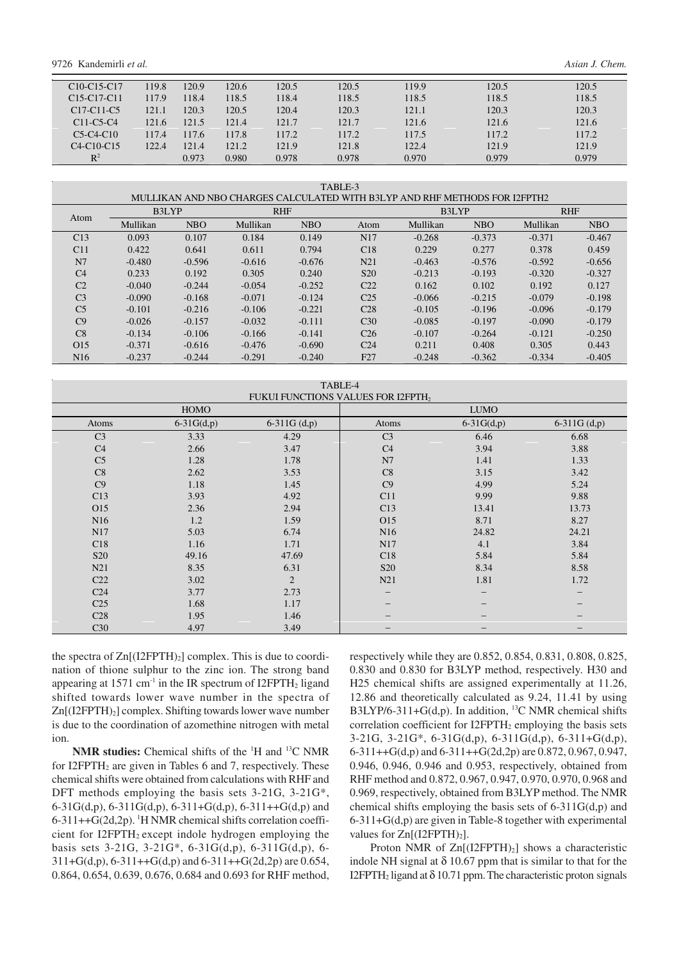9726 Kandemirli *et al. Asian J. Chem.*

| C <sub>10</sub> -C <sub>15</sub> -C <sub>17</sub> | 119.8 | 120.9 | 120.6 | 120.5 | 120.5 | 119.9 | 120.5 | 120.5 |
|---------------------------------------------------|-------|-------|-------|-------|-------|-------|-------|-------|
| C <sub>15</sub> -C <sub>17</sub> -C <sub>11</sub> | 117.9 | 118.4 | 118.5 | 118.4 | 118.5 | 118.5 | 118.5 | 118.5 |
| C <sub>17</sub> -C <sub>11</sub> -C <sub>5</sub>  | 121.1 | 120.3 | 120.5 | 120.4 | 120.3 | 121.1 | 120.3 | 120.3 |
| $C11-C5-C4$                                       | 121.6 | 121.5 | 121.4 | 121.7 | 121.7 | 121.6 | 121.6 | 121.6 |
| $C5-C4-C10$                                       | 117.4 | 117.6 | 117.8 | 117.2 | 117.2 | 117.5 | 117.2 | 117.2 |
| $C4-C10-C15$                                      | 122.4 | 121.4 | 121.2 | 121.9 | 121.8 | 122.4 | 121.9 | 121.9 |
| $R^2$                                             |       | 0.973 | 0.980 | 0.978 | 0.978 | 0.970 | 0.979 | 0.979 |

TABLE-3

| MULLIKAN AND NBO CHARGES CALCULATED WITH B3LYP AND RHF METHODS FOR I2FPTH2 |          |            |            |            |                 |          |            |            |            |  |
|----------------------------------------------------------------------------|----------|------------|------------|------------|-----------------|----------|------------|------------|------------|--|
| Atom                                                                       | B3LYP    |            | <b>RHF</b> |            |                 | B3LYP    |            | <b>RHF</b> |            |  |
|                                                                            | Mullikan | <b>NBO</b> | Mullikan   | <b>NBO</b> | Atom            | Mullikan | <b>NBO</b> | Mullikan   | <b>NBO</b> |  |
| C13                                                                        | 0.093    | 0.107      | 0.184      | 0.149      | N <sub>17</sub> | $-0.268$ | $-0.373$   | $-0.371$   | $-0.467$   |  |
| C11                                                                        | 0.422    | 0.641      | 0.611      | 0.794      | C18             | 0.229    | 0.277      | 0.378      | 0.459      |  |
| N7                                                                         | $-0.480$ | $-0.596$   | $-0.616$   | $-0.676$   | N21             | $-0.463$ | $-0.576$   | $-0.592$   | $-0.656$   |  |
| C <sub>4</sub>                                                             | 0.233    | 0.192      | 0.305      | 0.240      | S <sub>20</sub> | $-0.213$ | $-0.193$   | $-0.320$   | $-0.327$   |  |
| C <sub>2</sub>                                                             | $-0.040$ | $-0.244$   | $-0.054$   | $-0.252$   | C <sub>22</sub> | 0.162    | 0.102      | 0.192      | 0.127      |  |
| C <sub>3</sub>                                                             | $-0.090$ | $-0.168$   | $-0.071$   | $-0.124$   | C <sub>25</sub> | $-0.066$ | $-0.215$   | $-0.079$   | $-0.198$   |  |
| C <sub>5</sub>                                                             | $-0.101$ | $-0.216$   | $-0.106$   | $-0.221$   | C <sub>28</sub> | $-0.105$ | $-0.196$   | $-0.096$   | $-0.179$   |  |
| C9                                                                         | $-0.026$ | $-0.157$   | $-0.032$   | $-0.111$   | C <sub>30</sub> | $-0.085$ | $-0.197$   | $-0.090$   | $-0.179$   |  |
| C8                                                                         | $-0.134$ | $-0.106$   | $-0.166$   | $-0.141$   | C <sub>26</sub> | $-0.107$ | $-0.264$   | $-0.121$   | $-0.250$   |  |
| O <sub>15</sub>                                                            | $-0.371$ | $-0.616$   | $-0.476$   | $-0.690$   | C <sub>24</sub> | 0.211    | 0.408      | 0.305      | 0.443      |  |
| N16                                                                        | $-0.237$ | $-0.244$   | $-0.291$   | $-0.240$   | F27             | $-0.248$ | $-0.362$   | $-0.334$   | $-0.405$   |  |

| TABLE-4                                        |              |                |                 |              |                   |  |  |  |
|------------------------------------------------|--------------|----------------|-----------------|--------------|-------------------|--|--|--|
| FUKUI FUNCTIONS VALUES FOR I2FPTH <sub>2</sub> |              |                |                 |              |                   |  |  |  |
|                                                | <b>HOMO</b>  |                |                 | <b>LUMO</b>  |                   |  |  |  |
| Atoms                                          | $6-31G(d,p)$ | $6-311G(d,p)$  | Atoms           | $6-31G(d,p)$ | $6-311G(d,p)$     |  |  |  |
| C <sub>3</sub>                                 | 3.33         | 4.29           | C <sub>3</sub>  | 6.46         | 6.68              |  |  |  |
| C <sub>4</sub>                                 | 2.66         | 3.47           | C <sub>4</sub>  | 3.94         | 3.88              |  |  |  |
| C <sub>5</sub>                                 | 1.28         | 1.78           | N7              | 1.41         | 1.33              |  |  |  |
| C8                                             | 2.62         | 3.53           | C8              | 3.15         | 3.42              |  |  |  |
| C9                                             | 1.18         | 1.45           | C9              | 4.99         | 5.24              |  |  |  |
| C13                                            | 3.93         | 4.92           | C11             | 9.99         | 9.88              |  |  |  |
| O15                                            | 2.36         | 2.94           | C13             | 13.41        | 13.73             |  |  |  |
| N <sub>16</sub>                                | 1.2          | 1.59           | O15             | 8.71         | 8.27              |  |  |  |
| N17                                            | 5.03         | 6.74           | N <sub>16</sub> | 24.82        | 24.21             |  |  |  |
| C18                                            | 1.16         | 1.71           | N17             | 4.1          | 3.84              |  |  |  |
| S <sub>20</sub>                                | 49.16        | 47.69          | C18             | 5.84         | 5.84              |  |  |  |
| N21                                            | 8.35         | 6.31           | <b>S20</b>      | 8.34         | 8.58              |  |  |  |
| C22                                            | 3.02         | $\overline{2}$ | N21             | 1.81         | 1.72              |  |  |  |
| C <sub>24</sub>                                | 3.77         | 2.73           |                 | —            | $\qquad \qquad -$ |  |  |  |
| C <sub>25</sub>                                | 1.68         | 1.17           |                 |              |                   |  |  |  |
| C28                                            | 1.95         | 1.46           |                 |              |                   |  |  |  |
| C <sub>30</sub>                                | 4.97         | 3.49           |                 |              |                   |  |  |  |

the spectra of  $Zn[(12FPTH)_2]$  complex. This is due to coordination of thione sulphur to the zinc ion. The strong band appearing at  $1571 \text{ cm}^{-1}$  in the IR spectrum of I2FPTH<sub>2</sub> ligand shifted towards lower wave number in the spectra of Zn[(I2FPTH)<sub>2</sub>] complex. Shifting towards lower wave number is due to the coordination of azomethine nitrogen with metal ion.

**NMR studies:** Chemical shifts of the <sup>1</sup>H and <sup>13</sup>C NMR for I2FPTH<sub>2</sub> are given in Tables 6 and 7, respectively. These chemical shifts were obtained from calculations with RHF and DFT methods employing the basis sets 3-21G, 3-21G\*, 6-31G(d,p), 6-311G(d,p), 6-311+G(d,p), 6-311++G(d,p) and  $6-311++G(2d,2p)$ . <sup>1</sup>H NMR chemical shifts correlation coefficient for  $I2FPTH_2$  except indole hydrogen employing the basis sets 3-21G, 3-21G\*, 6-31G(d,p), 6-311G(d,p), 6- 311+G(d,p), 6-311++G(d,p) and 6-311++G(2d,2p) are 0.654, 0.864, 0.654, 0.639, 0.676, 0.684 and 0.693 for RHF method, respectively while they are 0.852, 0.854, 0.831, 0.808, 0.825, 0.830 and 0.830 for B3LYP method, respectively. H30 and H25 chemical shifts are assigned experimentally at 11.26, 12.86 and theoretically calculated as 9.24, 11.41 by using B3LYP/6-311+G(d,p). In addition,  $^{13}$ C NMR chemical shifts correlation coefficient for  $I2FPTH_2$  employing the basis sets  $3-21G$ ,  $3-21G^*$ ,  $6-31G(d,p)$ ,  $6-311G(d,p)$ ,  $6-311+G(d,p)$ , 6-311++G(d,p) and 6-311++G(2d,2p) are 0.872, 0.967, 0.947, 0.946, 0.946, 0.946 and 0.953, respectively, obtained from RHF method and 0.872, 0.967, 0.947, 0.970, 0.970, 0.968 and 0.969, respectively, obtained from B3LYP method. The NMR chemical shifts employing the basis sets of 6-311G(d,p) and 6-311+G(d,p) are given in Table-8 together with experimental values for  $Zn[(12FPTH)_2]$ .

Proton NMR of  $Zn[(12FPTH)_2]$  shows a characteristic indole NH signal at  $\delta$  10.67 ppm that is similar to that for the I2FPTH<sub>2</sub> ligand at  $\delta$  10.71 ppm. The characteristic proton signals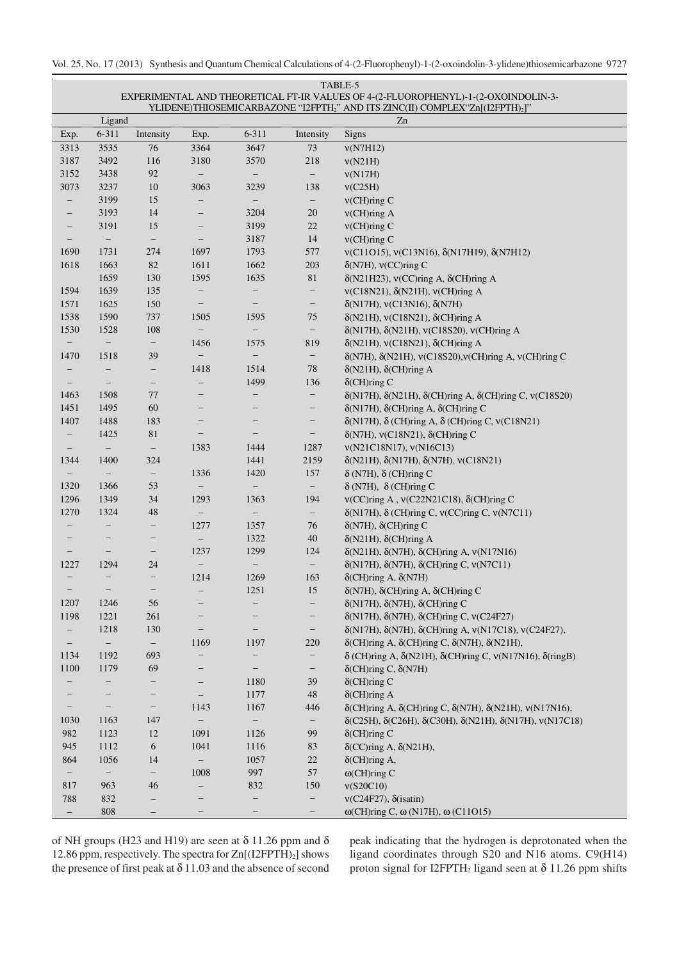#### TABLE-5 EXPERIMENTAL AND THEORETICAL FT-IR VALUES OF 4-(2-FLUOROPHENYL)-1-(2-OXOINDOLIN-3- YLIDENE)THIOSEMICARBAZONE "12FPTH<sub>2</sub>" AND ITS ZINC(II) COMPLEX "Zn[(12FPTH)<sub>2</sub>]"

|                          | Ligand                   |                          |                          |                          |                          | I EIDERE/ITHOSEMIC/WO/YEORE TELL III) ARD TTS EIRC(II) COMI EEA EII[(EET IIII))<br>Zn    |
|--------------------------|--------------------------|--------------------------|--------------------------|--------------------------|--------------------------|------------------------------------------------------------------------------------------|
| Exp.                     | $6 - 311$                | Intensity                | Exp.                     | 6-311                    | Intensity                | <b>Signs</b>                                                                             |
| 3313                     | 3535                     | 76                       | 3364                     | 3647                     | 73                       | v(N7H12)                                                                                 |
| 3187                     | 3492                     | 116                      | 3180                     | 3570                     | 218                      | v(N21H)                                                                                  |
| 3152                     | 3438                     | 92                       | $\overline{\phantom{a}}$ | $-$                      | $\overline{\phantom{0}}$ | v(N17H)                                                                                  |
| 3073                     | 3237                     | 10                       | 3063                     | 3239                     | 138                      | v(C25H)                                                                                  |
| $\qquad \qquad -$        | 3199                     | 15                       | $\overline{\phantom{0}}$ | $\overline{\phantom{a}}$ | $\qquad \qquad -$        | $v$ (CH) $ring C$                                                                        |
| -                        | 3193                     | 14                       | $\qquad \qquad -$        | 3204                     | $20\,$                   | $v$ (CH) $ring A$                                                                        |
| -                        | 3191                     | 15                       | $\qquad \qquad -$        | 3199                     | $22\,$                   | $v$ (CH)ring C                                                                           |
| $\overline{\phantom{m}}$ | $\overline{\phantom{a}}$ | $\qquad \qquad -$        | $\overline{\phantom{m}}$ | 3187                     | 14                       | $V(CH)$ ring C                                                                           |
| 1690                     | 1731                     | 274                      | 1697                     | 1793                     | 577                      | $v(C11015)$ , $v(C13N16)$ , $\delta(N17H19)$ , $\delta(N7H12)$                           |
| 1618                     | 1663                     | 82                       | 1611                     | 1662                     | 203                      | $\delta$ (N7H), v(CC)ring C                                                              |
|                          | 1659                     | 130                      | 1595                     | 1635                     | 81                       | $\delta(N21H23)$ , $V(CC)$ ring A, $\delta$ (CH)ring A                                   |
| 1594                     | 1639                     | 135                      | $\qquad \qquad -$        | $\qquad \qquad -$        | $\qquad \qquad -$        | $v(C18N21), \delta(N21H), v(CH)$ ring A                                                  |
| 1571                     | 1625                     | 150                      | -                        | $\qquad \qquad -$        | $\qquad \qquad -$        | $\delta(N17H)$ , v(C13N16), $\delta(N7H)$                                                |
| 1538                     | 1590                     | 737                      | 1505                     | 1595                     | 75                       | $\delta(N21H)$ , v(C18N21), $\delta$ (CH)ring A                                          |
| 1530                     | 1528                     | $108\,$                  | $\qquad \qquad -$        | $\overline{\phantom{0}}$ | $\overline{\phantom{a}}$ | δ(N17H), δ(N21H), v(C18S20), v(CH)ring A                                                 |
| $\overline{\phantom{a}}$ | $\qquad \qquad -$        | $\qquad \qquad -$        | 1456                     | 1575                     | 819                      | $\delta(N21H)$ , v(C18N21), $\delta$ (CH)ring A                                          |
| 1470                     | 1518                     | 39                       | $\overline{\phantom{0}}$ | $\overline{\phantom{0}}$ | -                        | δ(N7H), δ(N21H), v(C18S20), v(CH)ring A, v(CH)ring C                                     |
| $\overline{\phantom{m}}$ | -                        | $\qquad \qquad -$        | 1418                     | 1514                     | 78                       | $\delta(N21H)$ , $\delta$ (CH)ring A                                                     |
| $\overline{\phantom{m}}$ | $\overline{\phantom{a}}$ | $\qquad \qquad -$        | $\qquad \qquad -$        | 1499                     | 136                      | $\delta$ (CH)ring C                                                                      |
| 1463                     | 1508                     | 77                       | $\overline{\phantom{0}}$ |                          | -                        | δ(N17H), δ(N21H), δ(CH)ring A, δ(CH)ring C, v(C18S20)                                    |
| 1451                     | 1495                     | 60                       | —                        |                          | -                        | $\delta(N17H)$ , $\delta$ (CH)ring A, $\delta$ (CH)ring C                                |
| 1407                     | 1488                     | 183                      | -                        |                          | $\overline{\phantom{a}}$ | $\delta(N17H)$ , $\delta$ (CH)ring A, $\delta$ (CH)ring C, v(C18N21)                     |
| $\overline{\phantom{a}}$ | 1425                     | 81                       | $\overline{\phantom{0}}$ |                          | $\qquad \qquad -$        | $\delta$ (N7H), v(C18N21), $\delta$ (CH)ring C                                           |
| $\overline{\phantom{m}}$ |                          | $\qquad \qquad -$        | 1383                     | 1444                     | 1287                     | v(N21C18N17), v(N16C13)                                                                  |
| 1344                     | 1400                     | 324                      |                          | 1441                     | 2159                     | $\delta(N21H), \delta(N17H), \delta(N7H), \nu(C18N21)$                                   |
| $\overline{\phantom{a}}$ |                          | $\qquad \qquad -$        | 1336                     | 1420                     | 157                      | $\delta$ (N7H), $\delta$ (CH)ring C                                                      |
| 1320                     | 1366                     | 53                       | $\overline{\phantom{0}}$ |                          | $\qquad \qquad -$        | $\delta$ (N7H), $\delta$ (CH)ring C                                                      |
| 1296                     | 1349                     | 34                       | 1293                     | 1363                     | 194                      | ν(CC)ring A, ν(C22N21C18), δ(CH)ring C                                                   |
| 1270                     | 1324                     | 48                       | $\overline{\phantom{0}}$ | $-$                      | $\qquad \qquad -$        | $\delta(N17H)$ , $\delta$ (CH)ring C, $v(CC)$ ring C, $v(N7C11)$                         |
| $\qquad \qquad -$        | -                        | $\qquad \qquad -$        | 1277                     | 1357                     | 76                       | $\delta(N7H)$ , $\delta$ (CH)ring C                                                      |
|                          | $\qquad \qquad -$        | $\qquad \qquad -$        | $\overline{\phantom{0}}$ | 1322                     | 40                       | $\delta(N21H)$ , $\delta$ (CH)ring A                                                     |
| $\overline{\phantom{a}}$ | $\overline{\phantom{0}}$ | $\qquad \qquad -$        | 1237                     | 1299                     | 124                      | $\delta(N21H)$ , $\delta(N7H)$ , $\delta$ (CH)ring A, $v(N17N16)$                        |
| 1227                     | 1294                     | 24                       | $\overline{\phantom{0}}$ | $\qquad \qquad -$        |                          | $\delta(N17H)$ , $\delta(N7H)$ , $\delta$ (CH)ring C, $v(N7C11)$                         |
| $\overline{\phantom{a}}$ | -                        | $\qquad \qquad -$        | 1214                     | 1269                     | 163                      | $\delta$ (CH)ring A, $\delta$ (N7H)                                                      |
|                          |                          | $\qquad \qquad -$        | $\qquad \qquad -$        | 1251                     | 15                       | $\delta(N7H)$ , $\delta$ (CH)ring A, $\delta$ (CH)ring C                                 |
| 1207                     | 1246                     | 56                       | —                        | $\qquad \qquad -$        | $\overline{\phantom{a}}$ | $\delta(N17H)$ , $\delta(N7H)$ , $\delta$ (CH)ring C                                     |
| 1198                     | 1221                     | 261                      | —                        | $\qquad \qquad -$        | $\qquad \qquad -$        | δ(N17H), δ(N7H), δ(CH)ring C, v(C24F27)                                                  |
|                          | 1218                     | 130                      | —                        | $\qquad \qquad -$        | -                        | δ(N17H), δ(N7H), δ(CH)ring A, v(N17C18), v(C24F27),                                      |
|                          | $\qquad \qquad -$        | $\overline{\phantom{0}}$ | 1169                     | 1197                     | 220                      | $\delta$ (CH)ring A, $\delta$ (CH)ring C, $\delta$ (N7H), $\delta$ (N21H),               |
| 1134                     | 1192                     | 693                      | $\overline{\phantom{0}}$ |                          | -                        | $\delta$ (CH)ring A, $\delta$ (N21H), $\delta$ (CH)ring C, v(N17N16), $\delta$ (ringB)   |
| 1100                     | 1179                     | 69                       | -                        |                          | $\qquad \qquad -$        | $\delta$ (CH)ring C, $\delta$ (N7H)                                                      |
|                          | -                        |                          |                          | 1180                     | 39                       | $\delta$ (CH)ring C                                                                      |
|                          |                          | -                        | $\overline{\phantom{a}}$ | 1177                     | $\sqrt{48}$              | $\delta$ (CH)ring A                                                                      |
|                          | $\qquad \qquad -$        | $\qquad \qquad -$        | 1143                     | 1167                     | 446                      | $\delta$ (CH)ring A, $\delta$ (CH)ring C, $\delta$ (N7H), $\delta$ (N21H), $v$ (N17N16), |
| 1030                     | 1163                     | 147                      |                          |                          | $\qquad \qquad -$        | δ(C25H), δ(C26H), δ(C30H), δ(N21H), δ(N17H), v(N17C18)                                   |
| 982                      | 1123                     | 12                       | 1091                     | 1126                     | 99                       | $\delta$ (CH)ring C                                                                      |
| 945                      | 1112                     | 6                        | 1041                     | 1116                     | 83                       | $\delta$ (CC)ring A, $\delta$ (N21H),                                                    |
| 864                      | 1056                     | 14                       | $\qquad \qquad -$        | 1057                     | $22\,$                   | $\delta$ (CH) ring A,                                                                    |
| $\qquad \qquad -$        | $\overline{\phantom{a}}$ | $\qquad \qquad -$        | 1008                     | 997                      | 57                       | $\omega$ (CH)ring C                                                                      |
| 817                      | 963                      | 46                       |                          | 832                      | 150                      | v(S20C10)                                                                                |
| 788                      | 832                      |                          |                          |                          | $\qquad \qquad -$        | $v(C24F27), \delta(isation)$                                                             |
| $\overline{\phantom{a}}$ | 808                      |                          |                          | —                        | -                        | $\omega$ (CH)ring C, $\omega$ (N17H), $\omega$ (C11O15)                                  |

of NH groups (H23 and H19) are seen at  $\delta$  11.26 ppm and  $\delta$ 12.86 ppm, respectively. The spectra for  $Zn[(12FPTH)_2]$  shows the presence of first peak at  $\delta$  11.03 and the absence of second peak indicating that the hydrogen is deprotonated when the ligand coordinates through S20 and N16 atoms. C9(H14) proton signal for I2FPTH<sub>2</sub> ligand seen at  $\delta$  11.26 ppm shifts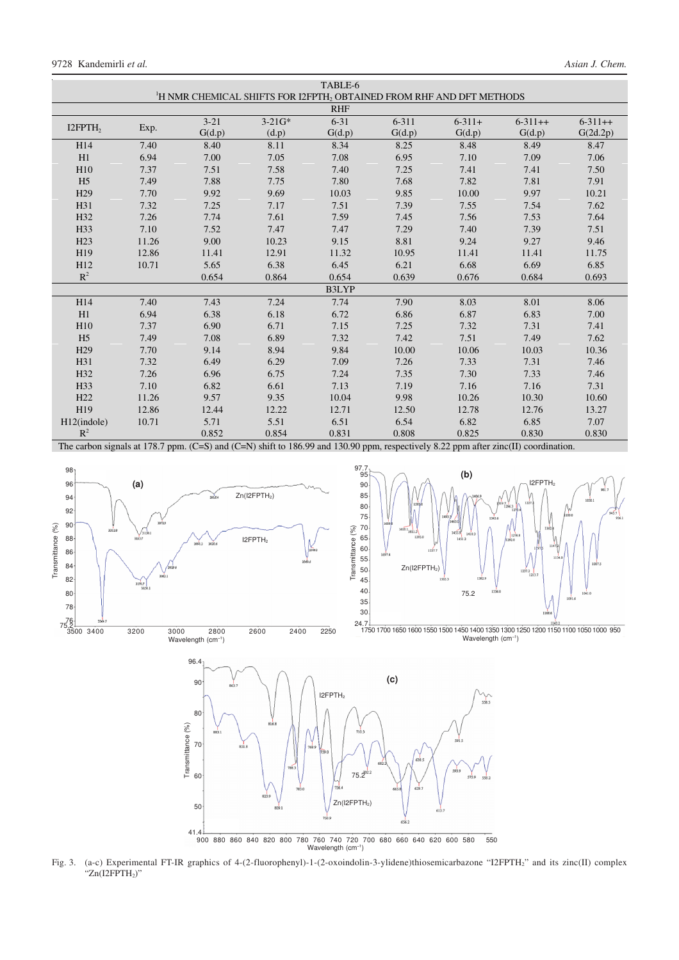|                     | TABLE-6 |          |                                                                                                                                      |            |           |             |               |               |
|---------------------|---------|----------|--------------------------------------------------------------------------------------------------------------------------------------|------------|-----------|-------------|---------------|---------------|
|                     |         |          | <sup>1</sup> H NMR CHEMICAL SHIFTS FOR I2FPTH, OBTAINED FROM RHF AND DFT METHODS                                                     |            |           |             |               |               |
|                     |         |          |                                                                                                                                      | <b>RHF</b> |           |             |               |               |
| I2FPTH <sub>2</sub> |         | $3 - 21$ | $3-21G*$                                                                                                                             | $6 - 31$   | $6 - 311$ | $6 - 311 +$ | $6 - 311 + +$ | $6 - 311 + +$ |
|                     | Exp.    | G(d.p)   | (d.p)                                                                                                                                | G(d.p)     | G(d.p)    | G(d.p)      | G(d.p)        | G(2d.2p)      |
| H14                 | 7.40    | 8.40     | 8.11                                                                                                                                 | 8.34       | 8.25      | 8.48        | 8.49          | 8.47          |
| H1                  | 6.94    | 7.00     | 7.05                                                                                                                                 | 7.08       | 6.95      | 7.10        | 7.09          | 7.06          |
| H10                 | 7.37    | 7.51     | 7.58                                                                                                                                 | 7.40       | 7.25      | 7.41        | 7.41          | 7.50          |
| H <sub>5</sub>      | 7.49    | 7.88     | 7.75                                                                                                                                 | 7.80       | 7.68      | 7.82        | 7.81          | 7.91          |
| H <sub>29</sub>     | 7.70    | 9.92     | 9.69                                                                                                                                 | 10.03      | 9.85      | 10.00       | 9.97          | 10.21         |
| H31                 | 7.32    | 7.25     | 7.17                                                                                                                                 | 7.51       | 7.39      | 7.55        | 7.54          | 7.62          |
| H32                 | 7.26    | 7.74     | 7.61                                                                                                                                 | 7.59       | 7.45      | 7.56        | 7.53          | 7.64          |
| H33                 | 7.10    | 7.52     | 7.47                                                                                                                                 | 7.47       | 7.29      | 7.40        | 7.39          | 7.51          |
| H23                 | 11.26   | 9.00     | 10.23                                                                                                                                | 9.15       | 8.81      | 9.24        | 9.27          | 9.46          |
| H19                 | 12.86   | 11.41    | 12.91                                                                                                                                | 11.32      | 10.95     | 11.41       | 11.41         | 11.75         |
| H12                 | 10.71   | 5.65     | 6.38                                                                                                                                 | 6.45       | 6.21      | 6.68        | 6.69          | 6.85          |
| $R^2$               |         | 0.654    | 0.864                                                                                                                                | 0.654      | 0.639     | 0.676       | 0.684         | 0.693         |
| <b>B3LYP</b>        |         |          |                                                                                                                                      |            |           |             |               |               |
| H14                 | 7.40    | 7.43     | 7.24                                                                                                                                 | 7.74       | 7.90      | 8.03        | 8.01          | 8.06          |
| H1                  | 6.94    | 6.38     | 6.18                                                                                                                                 | 6.72       | 6.86      | 6.87        | 6.83          | 7.00          |
| H10                 | 7.37    | 6.90     | 6.71                                                                                                                                 | 7.15       | 7.25      | 7.32        | 7.31          | 7.41          |
| H <sub>5</sub>      | 7.49    | 7.08     | 6.89                                                                                                                                 | 7.32       | 7.42      | 7.51        | 7.49          | 7.62          |
| H <sub>29</sub>     | 7.70    | 9.14     | 8.94                                                                                                                                 | 9.84       | 10.00     | 10.06       | 10.03         | 10.36         |
| H31                 | 7.32    | 6.49     | 6.29                                                                                                                                 | 7.09       | 7.26      | 7.33        | 7.31          | 7.46          |
| H32                 | 7.26    | 6.96     | 6.75                                                                                                                                 | 7.24       | 7.35      | 7.30        | 7.33          | 7.46          |
| H33                 | 7.10    | 6.82     | 6.61                                                                                                                                 | 7.13       | 7.19      | 7.16        | 7.16          | 7.31          |
| H <sub>22</sub>     | 11.26   | 9.57     | 9.35                                                                                                                                 | 10.04      | 9.98      | 10.26       | 10.30         | 10.60         |
| H19                 | 12.86   | 12.44    | 12.22                                                                                                                                | 12.71      | 12.50     | 12.78       | 12.76         | 13.27         |
| H12(indole)         | 10.71   | 5.71     | 5.51                                                                                                                                 | 6.51       | 6.54      | 6.82        | 6.85          | 7.07          |
| $R^2$               |         | 0.852    | 0.854                                                                                                                                | 0.831      | 0.808     | 0.825       | 0.830         | 0.830         |
|                     |         |          | The carbon signals at 178.7 ppm $(C-N)$ and $(C-N)$ shift to 186.00 and 130.00 ppm respectively 8.22 ppm after zinc(II) coordination |            |           |             |               |               |

The carbon signals at 178.7 ppm. (C=S) and (C=N) shift to 186.99 and 130.90 ppm, respectively 8.22 ppm after zinc(II) coordination.





1750 1700 1650 1600 1550 1500 1450 1400 1350 1300 1250 1200 1150 1100 1050 1000 .950 24.7 Wavelength (cm<sup>-1</sup>)



Fig. 3. (a-c) Experimental FT-IR graphics of 4-(2-fluorophenyl)-1-(2-oxoindolin-3-ylidene)thiosemicarbazone "I2FPTH2" and its zinc(II) complex "Zn(I2FPTH<sub>2</sub>)"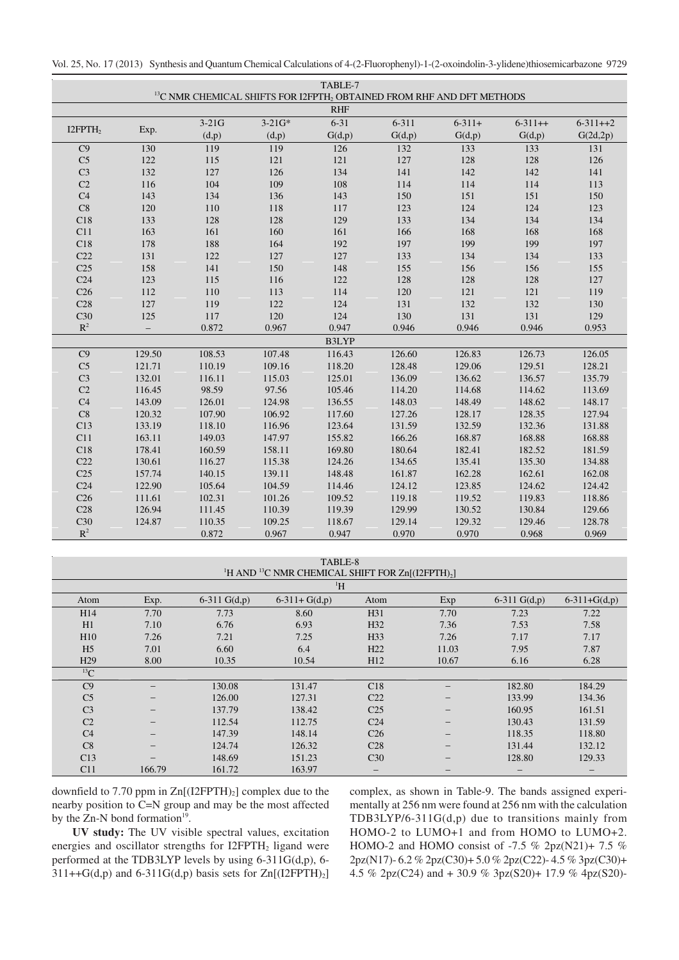|                     |                   |         | <sup>13</sup> C NMR CHEMICAL SHIFTS FOR I2FPTH, OBTAINED FROM RHF AND DFT METHODS | TABLE-7    |           |             |               |               |
|---------------------|-------------------|---------|-----------------------------------------------------------------------------------|------------|-----------|-------------|---------------|---------------|
|                     |                   |         |                                                                                   | <b>RHF</b> |           |             |               |               |
|                     |                   | $3-21G$ | $3 - 21G*$                                                                        | $6 - 31$   | $6 - 311$ | $6 - 311 +$ | $6 - 311 + +$ | $6 - 311 + 2$ |
| I2FPTH <sub>2</sub> | Exp.              | (d,p)   | (d,p)                                                                             | G(d,p)     | G(d,p)    | G(d,p)      | G(d,p)        | G(2d,2p)      |
| C9                  | 130               | 119     | 119                                                                               | 126        | 132       | 133         | 133           | 131           |
| C <sub>5</sub>      | 122               | 115     | 121                                                                               | 121        | 127       | 128         | 128           | 126           |
| C <sub>3</sub>      | 132               | 127     | 126                                                                               | 134        | 141       | 142         | 142           | 141           |
| C <sub>2</sub>      | 116               | 104     | 109                                                                               | 108        | 114       | 114         | 114           | 113           |
| C <sub>4</sub>      | 143               | 134     | 136                                                                               | 143        | 150       | 151         | 151           | 150           |
| C8                  | 120               | 110     | 118                                                                               | 117        | 123       | 124         | 124           | 123           |
| C18                 | 133               | 128     | 128                                                                               | 129        | 133       | 134         | 134           | 134           |
| C11                 | 163               | 161     | 160                                                                               | 161        | 166       | 168         | 168           | 168           |
| C18                 | 178               | 188     | 164                                                                               | 192        | 197       | 199         | 199           | 197           |
| C22                 | 131               | 122     | 127                                                                               | 127        | 133       | 134         | 134           | 133           |
| C <sub>25</sub>     | 158               | 141     | 150                                                                               | 148        | 155       | 156         | 156           | 155           |
| C <sub>24</sub>     | 123               | 115     | 116                                                                               | 122        | 128       | 128         | 128           | 127           |
| C <sub>26</sub>     | 112               | 110     | 113                                                                               | 114        | 120       | 121         | 121           | 119           |
| C28                 | 127               | 119     | 122                                                                               | 124        | 131       | 132         | 132           | 130           |
| C30                 | 125               | 117     | 120                                                                               | 124        | 130       | 131         | 131           | 129           |
| $\mathbb{R}^2$      | $\qquad \qquad -$ | 0.872   | 0.967                                                                             | 0.947      | 0.946     | 0.946       | 0.946         | 0.953         |
| B3LYP               |                   |         |                                                                                   |            |           |             |               |               |
| C9                  | 129.50            | 108.53  | 107.48                                                                            | 116.43     | 126.60    | 126.83      | 126.73        | 126.05        |
| C <sub>5</sub>      | 121.71            | 110.19  | 109.16                                                                            | 118.20     | 128.48    | 129.06      | 129.51        | 128.21        |
| C <sub>3</sub>      | 132.01            | 116.11  | 115.03                                                                            | 125.01     | 136.09    | 136.62      | 136.57        | 135.79        |
| C <sub>2</sub>      | 116.45            | 98.59   | 97.56                                                                             | 105.46     | 114.20    | 114.68      | 114.62        | 113.69        |
| C <sub>4</sub>      | 143.09            | 126.01  | 124.98                                                                            | 136.55     | 148.03    | 148.49      | 148.62        | 148.17        |
| C8                  | 120.32            | 107.90  | 106.92                                                                            | 117.60     | 127.26    | 128.17      | 128.35        | 127.94        |
| C13                 | 133.19            | 118.10  | 116.96                                                                            | 123.64     | 131.59    | 132.59      | 132.36        | 131.88        |
| C11                 | 163.11            | 149.03  | 147.97                                                                            | 155.82     | 166.26    | 168.87      | 168.88        | 168.88        |
| C18                 | 178.41            | 160.59  | 158.11                                                                            | 169.80     | 180.64    | 182.41      | 182.52        | 181.59        |
| C22                 | 130.61            | 116.27  | 115.38                                                                            | 124.26     | 134.65    | 135.41      | 135.30        | 134.88        |
| C <sub>25</sub>     | 157.74            | 140.15  | 139.11                                                                            | 148.48     | 161.87    | 162.28      | 162.61        | 162.08        |
| C <sub>24</sub>     | 122.90            | 105.64  | 104.59                                                                            | 114.46     | 124.12    | 123.85      | 124.62        | 124.42        |
| C <sub>26</sub>     | 111.61            | 102.31  | 101.26                                                                            | 109.52     | 119.18    | 119.52      | 119.83        | 118.86        |
| C28                 | 126.94            | 111.45  | 110.39                                                                            | 119.39     | 129.99    | 130.52      | 130.84        | 129.66        |
| C30                 | 124.87            | 110.35  | 109.25                                                                            | 118.67     | 129.14    | 129.32      | 129.46        | 128.78        |
| $R^2$               |                   | 0.872   | 0.967                                                                             | 0.947      | 0.970     | 0.970       | 0.968         | 0.969         |

Vol. 25, No. 17 (2013) Synthesis and Quantum Chemical Calculations of 4-(2-Fluorophenyl)-1-(2-oxoindolin-3-ylidene)thiosemicarbazone 9729

|                                                                            | TABLE-8                      |                |                |                          |                          |                   |                                 |  |  |
|----------------------------------------------------------------------------|------------------------------|----------------|----------------|--------------------------|--------------------------|-------------------|---------------------------------|--|--|
| <sup>1</sup> H AND <sup>13</sup> C NMR CHEMICAL SHIFT FOR $Zn[(12FPTH)_2]$ |                              |                |                |                          |                          |                   |                                 |  |  |
| $\rm ^1H$                                                                  |                              |                |                |                          |                          |                   |                                 |  |  |
| Atom                                                                       | Exp.                         | 6-311 $G(d,p)$ | $6-311+G(d,p)$ | Atom                     | Exp                      | 6-311 $G(d,p)$    | $6-311+G(d,p)$                  |  |  |
| H <sub>14</sub>                                                            | 7.70                         | 7.73           | 8.60           | H <sub>31</sub>          | 7.70                     | 7.23              | 7.22                            |  |  |
| H1                                                                         | 7.10                         | 6.76           | 6.93           | H32                      | 7.36                     | 7.53              | 7.58                            |  |  |
| H10                                                                        | 7.26                         | 7.21           | 7.25           | H <sub>33</sub>          | 7.26                     | 7.17              | 7.17                            |  |  |
| H <sub>5</sub>                                                             | 7.01                         | 6.60           | 6.4            | H22                      | 11.03                    | 7.95              | 7.87                            |  |  |
| H <sub>29</sub>                                                            | 8.00                         | 10.35          | 10.54          | H12                      | 10.67                    | 6.16              | 6.28                            |  |  |
| ${}^{13}C$                                                                 |                              |                |                |                          |                          |                   |                                 |  |  |
| C9                                                                         |                              | 130.08         | 131.47         | C18                      | —                        | 182.80            | 184.29                          |  |  |
| C <sub>5</sub>                                                             | $\qquad \qquad \blacksquare$ | 126.00         | 127.31         | C <sub>22</sub>          | —                        | 133.99            | 134.36                          |  |  |
| C <sub>3</sub>                                                             | $\qquad \qquad \blacksquare$ | 137.79         | 138.42         | C <sub>25</sub>          | —                        | 160.95            | 161.51                          |  |  |
| C <sub>2</sub>                                                             | $\qquad \qquad \blacksquare$ | 112.54         | 112.75         | C <sub>24</sub>          | $\overline{\phantom{0}}$ | 130.43            | 131.59                          |  |  |
| C <sub>4</sub>                                                             |                              | 147.39         | 148.14         | C <sub>26</sub>          | —                        | 118.35            | 118.80                          |  |  |
| C8                                                                         | $\qquad \qquad \blacksquare$ | 124.74         | 126.32         | C <sub>28</sub>          | —                        | 131.44            | 132.12                          |  |  |
| C13                                                                        |                              | 148.69         | 151.23         | C <sub>30</sub>          | —                        | 128.80            | 129.33                          |  |  |
| C11                                                                        | 166.79                       | 161.72         | 163.97         | $\overline{\phantom{m}}$ | -                        | $\qquad \qquad -$ | $\hspace{0.1mm}-\hspace{0.1mm}$ |  |  |

downfield to 7.70 ppm in  $\text{Zn}[(\text{12FPTH})_2]$  complex due to the nearby position to C=N group and may be the most affected by the Zn-N bond formation $19$ .

**UV study:** The UV visible spectral values, excitation energies and oscillator strengths for I2FPTH<sub>2</sub> ligand were performed at the TDB3LYP levels by using 6-311G(d,p), 6-  $311++G(d,p)$  and 6-311G(d,p) basis sets for Zn[(I2FPTH)<sub>2</sub>] complex, as shown in Table-9. The bands assigned experimentally at 256 nm were found at 256 nm with the calculation TDB3LYP/6-311G(d,p) due to transitions mainly from HOMO-2 to LUMO+1 and from HOMO to LUMO+2. HOMO-2 and HOMO consist of -7.5 % 2pz(N21)+ 7.5 % 2pz(N17)- 6.2 % 2pz(C30)+ 5.0 % 2pz(C22)- 4.5 % 3pz(C30)+ 4.5 % 2pz(C24) and + 30.9 % 3pz(S20)+ 17.9 % 4pz(S20)-